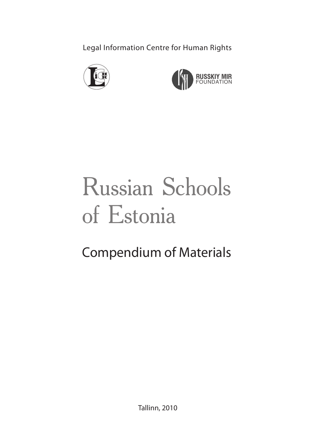Legal Information Centre for Human Rights





# Russian Schools of Estonia

# Compendium of Materials

Tallinn, 2010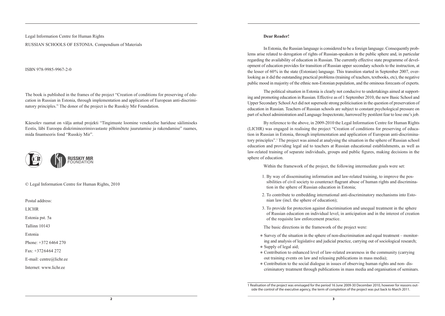Legal Information Centre for Human Rights

#### RUSSIAN SCHOOLS OF ESTONIA. Compendium of Materials

ISBN 978‑9985‑9967‑2‑0

The book is published in the frames of the project "Creation of conditions for preserving of education in Russian in Estonia, through implementation and application of European anti-discrimi natory principles." The donor of the project is the Russkiy Mir Foundation.

Käesolev raamat on välja antud projekti "Tingimuste loomine venekeelse hariduse säilimiseks Eestis, läbi Euroopa diskrimineerimisvastaste põhimõtete juurutamise ja rakendamise" raames, mida finantseeris fond "Russkiy Mir".



© Legal Information Centre for Human Rights, 2010

Postal address:

LICHR

Estonia pst. 5a

Tallinn 10143

Estonia

Phone: +372 6464 270

Fax: +372 64 64 272

E-mail: centre@lichr.ee

Internet: www.lichr.ee

#### **Dear Reader!**

In Estonia, the Russian language is considered to be a foreign language. Consequently problems arise related to derogation of rights of Russian-speakers in the public sphere and, in particular regarding the availability of education in Russian. The currently effective state programme of devel opment of education provides for transition of Russian upper secondary schools to the instruction, at the lesser of 60% in the state (Estonian) language. This transition started in September 2007, overlooking as it did the outstanding practical problems (training of teachers, textbooks, etc), the negative public mood in majority of the ethnic non-Estonian population, and the ominous forecasts of experts.

The political situation in Estonia is clearly not conducive to undertakings aimed at support– ing and promoting education in Russian. Effective as of 1 September 2010, the new Basic School and Upper Secondary School Act did not supersede strong politicisation in the question of preservation of education in Russian. Teachers of Russian schools are subject to constant psychological pressure on part of school administration and Language Inspectorate, harrowed by pestilent fear to lose one's job.

By reference to the above, in 2009-2010 the Legal Information Centre for Human Rights (LICHR) was engaged in realising the project "Creation of conditions for preserving of educa‑ tion in Russian in Estonia, through implementation and application of European anti-discriminatory principles".1 The project was aimed at analysing the situation in the sphere of Russian school education and providing legal aid to teachers at Russian educational establishments, as well as law-related training of separate individuals, groups and public figures, making decisions in the sphere of education.

Within the framework of the project, the following intermediate goals were set:

- 1. By way of disseminating information and law-related training, to improve the pos‑ sibilities of civil society to counteract flagrant abuse of human rights and discrimination in the sphere of Russian education in Estonia;
- 2. To contribute to embedding international anti-discriminatory mechanisms into Esto nian law (incl. the sphere of education);
- 3. To provide for protection against discrimination and unequal treatment in the sphere of Russian education on individual level, in anticipation and in the interest of creation of the requisite law enforcement practice.

The basic directions in the framework of the project were:

- Survey of the situation in the sphere of non-discrimination and equal treatment monitoring and analysis of legislative and judicial practice, carrying out of sociological research;
- $\bullet$  Supply of legal aid;
- Contribution to enhanced level of law-related awareness in the community (carrying out training events on law and releasing publications in mass media);
- Contribution to the social dialogue in issues of observing human rights and non-discriminatory treatment through publications in mass media and organisation of seminars.

<sup>1</sup> Realisation of the project was envisaged for the period 16 June 2009‑30 December 2010, however for reasons out‑ side the control of the executive agency, the term of completion of the project was put back to March 2011.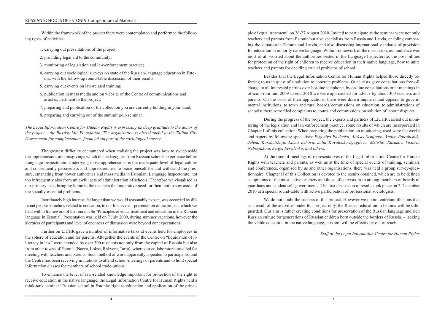Within the framework of the project there were contemplated and performed the follow– ing types of activities:

- 1. carrying out presentations of the project;
- 2. providing legal aid to the community;
- 3. monitoring of legislation and law-enforcement practice;
- 4. carrying out sociological surveys on state of the Russian-language education in Estonia, with the follow-up round-table discussion of their results;
- 5. carrying out events on law-related training;
- 6. publication in mass media and on website of the Centre of communications and articles, pertinent to the project;
- 7. preparing and publication of the collection you are currently holding in your hand;
- 8. preparing and carrying out of the summing-up seminar.

*The Legal Information Centre for Human Rights is expressing its deep gratitude to the donor of the project – the Russkiy Mir Foundation. The organisation is also thankful to the Tallinn City Government for complementary financial support of the sociological survey.*

The greatest difficulty encountered when realising the project was how to sweep aside the apprehensions and misgivings which the pedagogues from Russian schools experience before Language Inspectorate. Underlying those apprehensions is the inadequate level of legal culture and consequently passiveness and unpreparedness to brace oneself for and withstand the pressure, emanating from power authorities and mass media in Estonian, Language Inspectorate, not too infrequently also from unlawful acts of administration of schools. Therefore we visualised as our primary task, bringing home to the teachers the imperative need for them not to stay aside of the socially essential problems.

Inordinately high interest, far larger than we would reasonably expect, was accorded by dif‑ ferent people somehow related to education, to our first event – presentation of the project, which we held within framework of the roundtable "Principles of equal treatment and education in the Russian language in Estonia". Presentation was held on 7 July 2009, during summer vacations, however the alertness of participants and level of openness of discussion were beyond our expectations.

Further on LICHR gave a number of informative talks at events held for employees in the sphere of education and for parents. Altogether the events of the Centre on "liquidation of il‑ literacy in law" were attended by over 300 residents not only from the capital of Estonia but also from other towns of Estonia (Narva, Loksa, Rakvere, Tartu), where our collaborators travelled for meeting with teachers and parents. Such method of work apparently appealed to participants, and the Centre has been receiving invitations to attend school-meetings of parents and to hold special information classes for members of school trade-unions.

To enhance the level of law-related knowledge important for protection of the right to receive education in the native language, the Legal Information Centre for Human Rights held a think-tank seminar "Russian school in Estonia: right to education and application of the princi‑ ple of equal treatment" on 26‑27 August 2010. Invited to participate at the seminar were not only teachers and parents from Estonia but also specialists from Russia and Latvia, enabling compar ing the situation in Estonia and Latvia, and also discussing international standards of provision for education in minority native language. Within framework of the discussion, our audience was most of all worried about the authorities vested in the Language Inspectorate, the possibilities for protection of the right of children to receive education in their native language, how to unite teachers and parents for deciding crucial problems of school.

Besides that the Legal Information Centre for Human Rights helped those directly referring to us in quest of a solution to concrete problems. Our jurists gave consultations free-ofcharge to all interested parties over hot-line telephone, by on-line consultations or at meetings in office. From mid-2009 to end-2010 we were approached for advice by about 300 teachers and parents. On the basis of their applications, there were drawn inquiries and appeals to govern mental institutions, to town and rural boards / commissions on education, to administrations of schools; there were filed complaints to courts and commissions on solution of labour disputes.

During the progress of the project, the experts and partners of LICHR carried out monitoring of the legislation and law-enforcement practice, some results of which are incorporated in Chapter I of this collection. When preparing the publication on monitoring, used were the works and papers by following specialists: *Evgeniya Pavlenko, Aleksei Semjonov, Vadim Poleshchuk, Jelena Karzhetskaja, Elena Ezhova, Julia Kovalenko-Djagileva, Mstislav Rusakov, Viktoria Neborjakina, Sergei Seredenko, and others.*

At the time of meetings of representatives of the Legal Information Centre for Human Rights with teachers and parents, as well as at the time of special events of training, seminars and conferences, organised by us and other organisations, there was held a group survey-questionnaire. Chapter II of this Collection is devoted to the results obtained, which are to be defined as opinions of the most active teachers and those of activists from among members of boards of guardians and student self-governments. The first discussion of results took place on 7 December 2010 at a special round-table with active participation of professional sociologists.

We do not doubt the success of this project. However we do not entertain illusions that as a result of the activities under this project only, the Russian education in Estonia will be safeguarded. Our aim is rather creating conditions for preservation of the Russian language and rich Russian culture for generations of Russian children born outside the borders of Russia, – lacking the viable education in the native language, this aim will be effectively out of reach.

*Staff of the Legal Information Centre for Human Rights*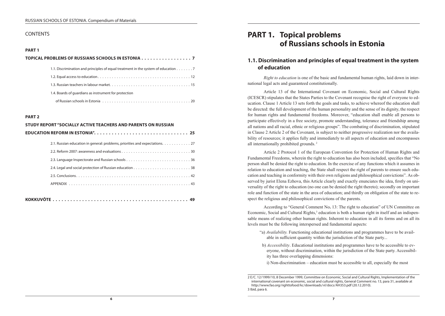#### **CONTENTS**

#### **PART 1**

| TOPICAL PROBLEMS OF RUSSIANS SCHOOLS IN ESTONIA 7                                  |
|------------------------------------------------------------------------------------|
| 1.1. Discrimination and principles of equal treatment in the system of education 7 |
|                                                                                    |
|                                                                                    |
| 1.4. Boards of quardians as instrument for protection                              |
| of Russian schools in Estonia and a control of Russian control of 20               |

#### **PART 2**

| STUDY REPORT "SOCIALLY ACTIVE TEACHERS AND PARENTS ON RUSSIAN                |
|------------------------------------------------------------------------------|
|                                                                              |
| 2.1. Russian education in general: problems, priorities and expectations. 27 |
|                                                                              |
|                                                                              |
|                                                                              |
|                                                                              |
|                                                                              |
|                                                                              |
|                                                                              |

|--|--|

# **PART 1. Topical problems of Russians schools in Estonia**

# **1.1. Discrimination and principles of equal treatment in the system of education**

*Right to education* is one of the basic and fundamental human rights, laid down in international legal acts and guaranteed constitutionally.

Article 13 of the International Covenant on Economic, Social and Cultural Rights (ICESCR) stipulates that the States Parties to the Covenant recognise the right of everyone to ed‑ ucation. Clause 1 Article 13 sets forth the goals and tasks, to achieve whereof the education shall be directed: the full development of the human personality and the sense of its dignity, the respect for human rights and fundamental freedoms. Moreover, "education shall enable all persons to participate effectively in a free society, promote understanding, tolerance and friendship among all nations and all racial, ethnic or religious groups". The combating of discrimination, stipulated in Clause 2 Article 2 of the Covenant, is subject to neither progressive realization nor the availability of resources; it applies fully and immediately to all aspects of education and encompasses all internationally prohibited grounds. 2

Article 2 Protocol 1 of the European Convention for Protection of Human Rights and Fundamental Freedoms, wherein the right to education has also been included, specifies that "No person shall be denied the right to education. In the exercise of any functions which it assumes in relation to education and teaching, the State shall respect the right of parents to ensure such education and teaching in conformity with their own religions and philosophical convictions". As ob– served by jurist Elena Ezhova, this Article clearly and exactly enunciates the idea, firstly on uni– versality of the right to education (no one can be denied the right thereto); secondly on important role and function of the state in the area of education; and thirdly on obligation of the state to respect the religious and philosophical convictions of the parents.

According to "General Comment No**.** 13: The right to education" of UN Committee on Economic, Social and Cultural Rights,<sup>3</sup> education is both a human right in itself and an indispensable means of realizing other human rights. Inherent to education in all its forms and on all its levels must be the following interspersed and fundamental aspects:

- "a) *Availability*. Functioning educational institutions and programmes have to be avail– able in sufficient quantity within the jurisdiction of the State party...
- b) *Accessibility*. Educational institutions and programmes have to be accessible to everyone, without discrimination, within the jurisdiction of the State party. Accessibility has three overlapping dimensions:
	- i) Non-discrimination education must be accessible to all, especially the most

<sup>2</sup> E/C. 12/1999/10, 8 December 1999, Committee on Economic, Social and Cultural Rights, Implementation of the international covenant on economic, social and cultural rights, General Comment no. 13, para 31, available at http://www.fao.org/righttofood/kc/downloads/vl/docs/AH353.pdf (20.12.2010). 3 Ibid, para 6.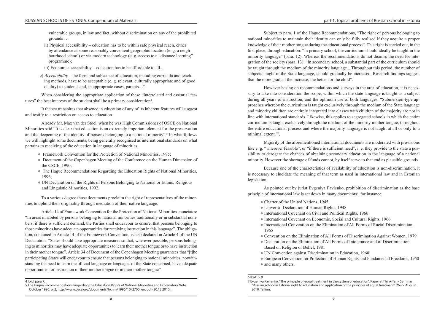vulnerable groups, in law and fact, without discrimination on any of the prohibited grounds …

ii) Physical accessibility – education has to be within safe physical reach, either by attendance at some reasonably convenient geographic location (e. g. a neighbourhood school) or via modern technology (e. g. access to a "distance learning" programme);

iii) Economic accessibility – education has to be affordable to all...

c) *Acceptability* – the form and substance of education, including curricula and teaching methods, have to be acceptable (e. g. relevant, culturally appropriate and of good quality) to students and, in appropriate cases, parents…"

When considering the appropriate application of these "interrelated and essential features" the best interests of the student shall be a primary consideration<sup>4</sup>.

It thence transpires that absence in education of any of its inherent features will suggest and testify to a restriction on access to education.

Already Mr. Max van der Stoel, when he was High Commissioner of OSCE on National Minorities said "It is clear that education is an extremely important element for the preservation and the deepening of the identity of persons belonging to a national minority".<sup>5</sup> In what follows we will highlight some documents, being generally recognised as international standards on what pertains to receiving of the education in language of minorities:

- Framework Convention for the Protection of National Minorities, 1995;
- Document of the Copenhagen Meeting of the Conference on the Human Dimension of the CSCE, 1990;
- The Hague Recommendations Regarding the Education Rights of National Minorities, 1996;
- UN Declaration on the Rights of Persons Belonging to National or Ethnic, Religious and Linguistic Minorities, 1992.

To a various degree those documents proclaim the right of representatives of the minor‑ ities to uphold their originality through mediation of their native language.

Article 14 of Framework Convention for the Protection of National Minorities enunciates: "In areas inhabited by persons belonging to national minorities traditionally or in substantial num‑ bers, if there is sufficient demand, the Parties shall endeavour to ensure, that persons belonging to those minorities have adequate opportunities for receiving instruction in this language". The obligationtion, contained in Article 14 of the Framework Convention, is also declared in Article 4 of the UN Declaration: "States should take appropriate measures so that, wherever possible, persons belonging to minorities may have adequate opportunities to learn their mother tongue or to have instruction in their mother tongue". Article 34 of Document of the Copenhagen Meeting guarantees that "[t]he participating States will endeavour to ensure that persons belonging to national minorities, notwith– standing the need to learn the official language or languages of the State concerned, have adequate opportunities for instruction of their mother tongue or in their mother tongue".

Subject to para. 1 of the Hague Recommendations, "The right of persons belonging to national minorities to maintain their identity can only be fully realised if they acquire a proper knowledge of their mother tongue during the educational process". This right is carried out, in the first place, through education: "in primary school, the curriculum should ideally be taught in the minority language" (para. 12). Whereas the recommendations do not dismiss the need for integration of the society (para. 13): "In secondary school, a substantial part of the curriculum should be taught through the medium of the minority language... Throughout this period, the number of subjects taught in the State language, should gradually be increased. Research findings suggest that the more gradual the increase, the better for the child".

However basing on recommendations and surveys in the area of education, it is necessary to take into consideration the scope, within which the state language is taught as a subject during all years of instruction, and the optimum use of both languages. "Submersion-type approaches whereby the curriculum is taught exclusively through the medium of the State language and minority children are entirely integrated into classes with children of the majority are not in line with international standards. Likewise, this applies to segregated schools in which the entire curriculum is taught exclusively through the medium of the minority mother tongue, throughout the entire educational process and where the majority language is not taught at all or only to a minimal extent."6 .

Majority of the aforementioned international documents are moderated with provisions like e. g. "wherever feasible", or "if there is sufficient need", i. e. they provide to the state a possibility to derogate the chances of obtaining secondary education in the language of a national minority. However the shortage of funds cannot, by itself serve to that end as plausible grounds.

Because one of the characteristics of availability of education is non-discrimination, it is necessary to elucidate the meaning of that term as used in international law and in Estonian legislation.

As pointed out by jurist Evgeniya Pavlenko, prohibition of discrimination as the base principle of international law is set down in many documents<sup>7</sup>, for instance:

- Charter of the United Nations, 1945
- Universal Declaration of Human Rights, 1948
- International Covenant on Civil and Political Rights, 1966
- $\bullet$  International Covenant on Economic, Social and Cultural Rights, 1966
- International Convention on the Elimination of All Forms of Racial Discrimination, 1965
- Convention on the Elimination of All Forms of Discrimination Against Women, 1979
- Declaration on the Elimination of All Forms of Intolerance and of Discrimination Based on Religion or Belief, 1981
- UN Convention against Discrimination in Education, 1960
- European Convention for Protection of Human Rights and Fundamental Freedoms, 1950 • and many others.

<sup>4</sup> Ibid, para 7.

<sup>5</sup> The Hague Recommendations Regarding the Education Rights of National Minorities and Explanatory Note. October 1996. p. 2, http://www.osce.org/documents/hcnm/1996/10/2700\_en. pdf (20.12.2010).

<sup>6</sup> Ibid. p. 9.

<sup>7</sup> Evgeniya Pavlenko. "The principle of equal treatment in the system of education". Paper at Think-Tank Seminar "Russian school in Estonia: right to education and application of the principle of equal treatment". 26‑27 August 2010, Tallinn.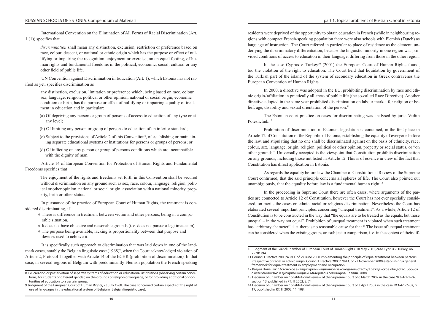International Convention on the Elimination of All Forms of Racial Discrimination (Art. 1 (1)) specifies that

*discrimination* shall mean any distinction, exclusion, restriction or preference based on race, colour, descent, or national or ethnic origin which has the purpose or effect of nullifying or impairing the recognition, enjoyment or exercise, on an equal footing, of hu– man rights and fundamental freedoms in the political, economic, social, cultural or any other field of public life.

UN Convention against Discrimination in Education (Art. 1), which Estonia has not rat ified as yet, specifies discrimination as

any distinction, exclusion, limitation or preference which, being based on race, colour, sex, language, religion, political or other opinion, national or social origin, economic condition or birth, has the purpose or effect of nullifying or impairing equality of treatment in education and in particular:

- (a) Of depriving any person or group of persons of access to education of any type or at any level;
- (b) Of limiting any person or group of persons to education of an inferior standard;
- (c) Subject to the provisions of Article 2 of this Convention<sup>8</sup>, of establishing or maintaining separate educational systems or institutions for persons or groups of persons; or
- (d) Of inflicting on any person or group of persons conditions which are incompatible with the dignity of man.

Article 14 of European Convention for Protection of Human Rights and Fundamental Freedoms specifies that

The enjoyment of the rights and freedoms set forth in this Convention shall be secured without discrimination on any ground such as sex, race, colour, language, religion, polit– ical or other opinion, national or social origin, association with a national minority, prop– erty, birth or other status.

In pursuance of the practice of European Court of Human Rights, the treatment is considered discriminating, if

- There is difference in treatment between victim and other persons, being in a compa rable situation,
- $\bullet$  It does not have objective and reasonable grounds (i. e. does not pursue a legitimate aim),
- The purpose being available, lacking is proportionality between that purpose and devices used to achieve it.

It is specifically such approach to discrimination that was laid down in one of the land– mark cases, notably the Belgian linguistic case (1968)<sup>9</sup>, when the Court acknowledged violation of Article 2, Protocol 1 together with Article 14 of the ECHR (prohibition of discrimination). In that case, in several regions of Belgium with predominantly Flemish population the French-speaking

residents were deprived of the opportunity to obtain education in French (while in neighbouring regions with compact French-speaking population there were also schools with Flemish (Dutch) as language of instruction. The Court referred in particular to place of residence as the element, underlying the discriminatory differentiation, because the linguistic minority in one region was provided conditions of access to education in their language, differing from those in the other region.

In the case Cyprus v. Turkey<sup>10</sup> (2001) the European Court of Human Rights found, too the violation of the right to education. The Court held that liquidation by government of the Turkish part of the island of the system of secondary education in Greek contravenes the European Convention of Human Rights.

In 2000, a directive was adopted in the EU, prohibiting discrimination by race and eth– nic origin / affiliation in practically all areas of public life (the so-called Race Directive). Another directive adopted in the same year prohibited discrimination on labour market for religion or belief, age, disability and sexual orientation of the person.<sup>11</sup>

The Estonian court practice on cases for discriminating was analysed by jurist Vadim Poleshchuk.<sup>12</sup>

Prohibition of discrimination in Estonian legislation is contained, in the first place in Article 12 of Constitution of the Republic of Estonia, establishing the equality of everyone before the law, and stipulating that no one shall be discriminated against on the basis of ethnicity, race, colour, sex, language, origin, religion, political or other opinion, property or social status, or "on other grounds". Universally accepted is the viewpoint that Constitution prohibits discrimination on any grounds, including those not listed in Article 12.This is of essence in view of the fact that Constitution has direct application in Estonia.

As regards the equality before law the Chamber of Constitutional Review of the Supreme Court confirmed, that the said principle concerns all spheres of life. The Court also pointed out unambiguously, that the equality before law is a fundamental human right.<sup>13</sup>

In the proceeding in Supreme Court there are often cases, where arguments of the par ties are connected to Article 12 of Constitution, however the Court has not ever specially considered, on merits the cases on ethnic, racial or religious discrimination. Nevertheless the Court has elaborated several important principles, concerning "unequal treatment". As a whole, Article 12 of Constitution is to be constructed in the way that "the equals are to be treated as the equals, but those unequal – in the way not equal". Prohibition of unequal treatment is violated when such treatment has "arbitrary character", i. e. there is no reasonable cause for that.<sup>14</sup> The issue of unequal treatment can be considered when the existing groups are subject to comparison, i. e. in the context of their dif-

<sup>8</sup> I. e. creation or preservation of separate systems of education or educational institutions (observing certain conditions) for students of different gender, on the grounds of religion or language, or for providing additional opportunities of education to a certain group.

<sup>9</sup> Judgment of the European Court of Human Rights, 23 July 1968. The case concerned certain aspects of the right of use of languages in the educational system of Belgium (Belgian linguistic case).

<sup>10</sup> Judgment of the Grand Chamber of European Court of Human Rights, 10 May 2001, case Cyprus v. Turkey, no. 25781/94.

<sup>11</sup> Council Directive 2000/43/EC of 29 June 2000 implementing the principle of equal treatment between persons irrespective of racial or ethnic origin; Council Directive 2000/78/EC of 27 November 2000 establishing a general framework for equal treatment in employment and occupation.

<sup>12</sup> Вадим Полещук. "Эстонское антидискриминационное законодательство" // Гражданское общество. Борьба с нетерпимостью и дискриминацией. Материалы семинаров, Таллин, 2008.

<sup>13</sup> Decision of Chamber on Constitutional Review of the Supreme Court of 6 March 2002 in the case №3‑4‑1‑1–02, section 13, published in RT, III 2002, 8, 74.

<sup>14</sup> Decision of Chamber on Constitutional Review of the Supreme Court of 3 April 2002 in the case №3‑4‑1‑2–02, п. 17, published in RT, III 2002, 11, 108.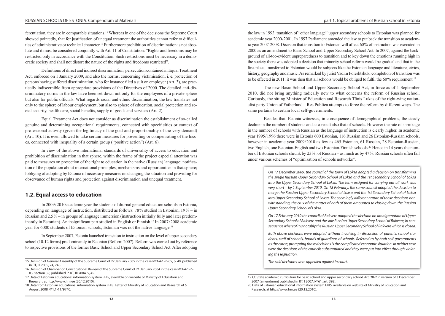ferentiation, they are in comparable situations.15 Whereas in one of the decisions the Supreme Court showed pointedly, that for justification of unequal treatment the authorities cannot refer to difficul ties of administrative or technical character.<sup>16</sup> Furthermore prohibition of discrimination is not absolute and it must be considered conjointly with Art. 11 of Constitution: "Rights and freedoms may be restricted only in accordance with the Constitution. Such restrictions must be necessary in a democratic society and shall not distort the nature of the rights and freedoms restricted".

Definitions of direct and indirect discrimination, persecution contained in Equal Treatment Act, enforced on 1 January 2009, and also the norms, concerning victimisation, i. e. protection of persons having suffered discrimination, who for instance filed a suit on employer (Art. 3), are prac‑ tically indiscernible from appropriate provisions of the Directives of 2000. The detailed anti-dis‑ criminatory norms in the law have been set down not only for the employees of a private sphere but also for public officials. What regards racial and ethnic discrimination, the law translates not only to the sphere of labour employment, but also to sphere of education, social protection and social security, health care, social benefits, supply of goods and services (Art. 2).

Equal Treatment Act does not consider as discrimination the establishment of so-called genuine and determining occupational requirements, connected with specificities or context of professional activity (given the legitimacy of the goal and proportionality of the very demand) (Art. 10). It is even allowed to take certain measures for preventing or compensating of the losses, connected with inequality of a certain group ("positive action") (Art. 6).

In view of the above international standards of universality of access to education and prohibition of discrimination in that sphere, within the frame of the project especial attention was paid to measures on protection of the right to education in the native (Russian) language; notification of the population about international principles, mechanisms and opportunities in that sphere; lobbying of adopting by Estonia of necessary measures on changing the situation and providing for observance of human rights and protection against discrimination and unequal treatment.

## **1.2. Equal access to education**

In 2009/2010 academic year the students of diurnal general education schools in Estonia, depending on language of instruction, distributed as follows: 78 % studied in Estonian, 19 % – in Russian and 2.5<sup> $\%$ </sup> – in groups of language immersion (instruction initially fully and later predominantly in Estonian). An insignificant part studied in English or Finnish.<sup>17</sup> In 2007/2008 academic year for 6000 students of Estonian schools, Estonian was not the native language.<sup>18</sup>

In September 2007, Estonia launched transition to instruction on the level of upper secondary school (10–12 forms) predominantly in Estonian (Reform 2007). Reform was carried out by reference to respective provisions of the former Basic School and Upper Secondary School Act. After adopting

the law in 1993, transition of "other language" upper secondary schools to Estonian was planned for academic year 2000/2001. In 1997 Parliament amended the law to put back the transition to academic year 2007‑2008. Decision that transition to Estonian will affect 60 % of instruction was executed in 2000 as an amendment to Basic School and Upper Secondary School Act. In 2007, against the back‑ ground of all-too-evident unpreparedness to transition and to key down the emotions running high in the society there was adopted a decision that minority school reform would be gradual and that in the first place, transferred to Estonian would be subjects like the Estonian language and literature, civics, history, geography and music. As remarked by jurist Vadim Poleshtshuk, completion of transition was to be effected in 2011: it was then that all schools would be obliged to fulfil the 60% requirement.<sup>19</sup>

The new Basic School and Upper Secondary School Act, in force as of 1 September 2010, did not bring anything radically new to what concerns the reform of Russian school. Curiously, the sitting Minister of Education and Research Tõnis Lukas of the right-wing nation‑ alist party Union of Fatherland – Res Publica attempts to force the reform by different ways. The same pertains to certain local self-governments.

Besides that, Estonia witnesses, in consequence of demographical problems, the steady decline in the number of students and as a result also that of schools. However the rate of shrinkage in the number of schools with Russian as the language of instruction is clearly higher. In academic year 1995/1996 there were in Estonia 600 Estonian, 116 Russian and 26 Estonian-Russian schools, however in academic year  $2009/2010$  as few as 465 Estonian, 61 Russian, 28 Estonian-Russian, two English, one Estonian-English and two Estonian-Finnish schools.<sup>20</sup> Hence in 14 years the number of Estonian schools shrunk by 23 %, of Russian – as much as by 47 %. Russian schools often fall under various schemes of "optimisation of schools networks".

> *On 17 December 2009, the council of the town of Loksa adopted a decision on transforming the single Russian Upper Secondary School of Loksa and the 1st Secondary School of Loksa into the Upper Secondary School of Loksa. The term assigned for carrying out all work was very short – by 1 September 2010. On 18 February, the same council adopted the decision to merge the Russian Upper Secondary School of Loksa and the 1st Secondary School of Loksa into Upper Secondary School of Loksa. The seemingly different nature of those decisions notwithstanding, the crux of the matter of both of them amounted to closing down the Russian Upper Secondary School of Loksa.*

> *On 17 February 2010 the council of Rakvere adopted the decision on amalgamation of Upper Secondary School of Rakvere and the sole Russian Upper Secondary School of Rakvere, in consequence whereof it is notably the Russian Upper Secondary School of Rakvere which is closed.*

> *Both above decisions were adopted without involving in discussion of parents, school students, staff of schools, boards of guardians of schools. Referred to by both self-governments as the cause, prompting those decisions is the complicated economic situation. In neither case were the decisions of the councils substantiated and they were put into effect through violating the legislation.*

*The said decisions were appealed against in court.*

<sup>15</sup> Decision of General Assembly of the Supreme Court of 27 January 2005 in the case №3‑4‑1‑2–05, p. 40, published in RT, III 2005, 24, 248.

<sup>16</sup> Decision of Chamber on Constitutional Review of the Supreme Court of 21 January 2004 in the case №3‑4‑1‑7– 03, section 39, published in RT, III 2004, 5, 45.

<sup>17</sup> Data of Estonian educational information system EHIS, available on website of Ministry of Education and Research, at http://www.hm.ee (20.12.2010).

<sup>18</sup> Data from Estonian educational information system EHIS. Letter of Ministry of Education and Research of 6 August 2008 №1.1‑11/9740.

<sup>19</sup> Cf. State academic curriculum for basic school and upper secondary school, Art. 28‑2 in version of 3 December 2007 (amendment published in RT, I 2007, №61, art. 392).

<sup>20</sup> Data of Estonian educational information system EHIS, available on website of Ministry of Education and Research, at http://www.hm.ee (20.12.2010).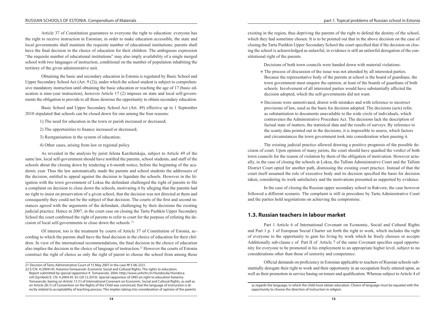Article 37 of Constitution guarantees to everyone the right to education: everyone has the right to receive instruction in Estonian; in order to make education accessible, the state and local governments shall maintain the requisite number of educational institutions; parents shall have the final decision in the choice of education for their children. The ambiguous expression "the requisite number of educational institutions" may also imply availability of a single merged school with two languages of instruction, conditional on the number of population inhabiting the territory of the given administrative unit.

Obtaining the basic and secondary education in Estonia is regulated by Basic School and Upper Secondary School Act (Art.  $9(2)$ ), under which the school student is subject to comprehensive mandatory instruction until obtaining the basic education or reaching the age of 17 (basic education is nine-year instruction), however Article 17 (2) imposes on state and local self-governments the obligation to provide to all those desirous the opportunity to obtain secondary education.

Basic School and Upper Secondary School Act (Art. 49) effective up to 1 September 2010 stipulated that schools can be closed down for one among the four reasons:

1) The need for education in the town or parish increased or decreased;

2) The opportunities to finance increased or decreased;

- 3) Reorganisation in the system of education;
- 4) Other cases, arising from law or regional policy

As revealed in the analysis by jurist Jelena Karzhetskaja, subject to Article 49 of the same law, local self-government should have notified the parents, school students, and staff of the schools about the closing down by tendering a 6–month notice, before the beginning of the aca– demic year. Thus the law automatically made the parents and school students the addressees of the decision, entitled to appeal against the decision to liquidate the schools. However in the litigation with the town government of Loksa the defendant challenged the right of parents to file a complaint on decision to close down the schools, motivating it by alleging that the parents had no right to insist on preservation of a given school, that the decision was not directed at them and consequently they could not be the subject of that decision. The courts of the first and second instances agreed with the arguments of the defendant, challenging by their decisions the existing judicial practice. Hence in 2007, in the court case on closing the Tartu Pushkin Upper Secondary School the court confirmed the right of parents to refer to court for the purpose of refuting the decision of local self-governments to close down the schools. 21

Of interest, too is the treatment by courts of Article 37 of Constitution of Estonia, according to which the parents shall have the final decision in the choice of education for their chil– dren. In view of the international recommendations, the final decision in the choice of education also implies the decision in the choice of language of instruction.22 However the courts of Estonia construct the right of choice as only the right of parent to choose the school from among those existing in the region, thus depriving the parents of the right to defend the destiny of the school, which they had sometime chosen. It is to be pointed out that in the above decision on the case of closing the Tartu Pushkin Upper Secondary School the court specified that if the decision on closing the school is acknowledged as unlawful, in evidence is still an unlawful derogation of the constitutional right of the parents.

Decisions of both town councils were handed down with material violations:

- The process of discussion of the issue was not attended by all interested parties. Because the representative body of the parents at school is the board of guardians, the town government must enquire the opinion, at least of the boards of guardians of both schools. Involvement of all interested parties would have substantially affected the decision adopted, which the self-governments did not want.
- Decisions were unmotivated, drawn with mistakes and with reference to incorrect provisions of law, used as the basis for decision adopted. The decisions (acts) refer, as substantiation to documents unavailable to the wide circle of individuals, which contravenes the Administrative Procedure Act. The decisions lack the description of factual state of matters, the statistical data and the results of surveys. By reference to the scanty data pointed out in the decisions, it is impossible to assess, which factors and circumstances the town government took into consideration when passing it.

The existing judicial practice allowed drawing a positive prognosis of the possible decision of court. Upon opinion of many jurists, the court should have quashed the verdict of both town councils for the reason of violation by them of the obligation of motivation. However actually, in the case of closing the schools at Loksa, the Tallinn Administrative Court and the Tallinn District Court opted for another path, dismissing the existing court practice. Instead of that the court itself assumed the role of executive body and its decision specified the basis for decision taken, considering its work satisfactory and the motivations presented as supported by evidence.

In the case of closing the Russian upper secondary school in Rakvere, the case however followed a different scenario. The complaint is still in procedure by Tartu Administrative Court and the parties hold negotiations on achieving the compromise.

# **1.3. Russian teachers in labour market**

Part 1 Article 6 of International Covenant on Economic, Social and Cultural Rights and Part 1 p. 1 of European Social Charter set forth the right to work, which includes the right of everyone to the opportunity to gain his living by work which he freely chooses or accepts Additionally sub-clause c of Part II of Article 7 of the same Covenant specifies equal opportunity for everyone to be promoted in his employment to an appropriate higher level, subject to no considerations other than those of seniority and competence.

Official demands on proficiency in Estonian applicable to teachers of Russian schools sub‑ stantially derogate their right to work and their opportunity in an occupation freely entered upon, as well as their promotion in service basing on tenure and qualification. Whereas subject to Article 4 of

<sup>21</sup> Decision of Tartu Administrative Court of 15 May 2007 in the case №3‑06‑2331.

<sup>22</sup> E/CN. 4/2004/45. Katarina Tomasevski. Economic Social and Cultural Rights. The rights to education. Report submitted by special rapporteur K. Tomasevski, 2004, http://www.unhchr.ch/Huridocda/Huridoca. nsf/(Symbol)/E. CN. 4.2004.45. En (20.12.2010). Special rapporteur of UNO on right to education Katarina Tomasevski, basing on Article 13 (1) of International Covenant on Economic, Social and Cultural Rights, as well as on Article 28 (1) of Convention on the Rights of the Child was convinced, that the language of instruction is di‑ rectly related to acceptability of teaching process. This implies taking into consideration of opinion of the parents

as regards the language, in which the child must obtain education. Choice of language must be equated with the opportunity to choose the direction of instruction in religion.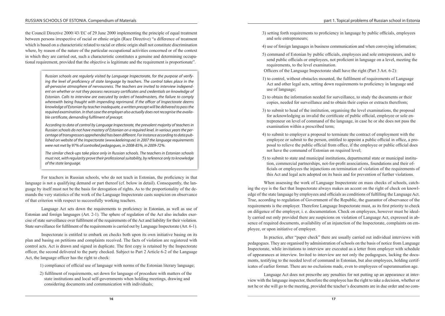the Council Directive 2000/43/EC of 29 June 2000 implementing the principle of equal treatment between persons irrespective of racial or ethnic origin (Race Directive) "a difference of treatment which is based on a characteristic related to racial or ethnic origin shall not constitute discrimination where, by reason of the nature of the particular occupational activities concerned or of the context in which they are carried out, such a characteristic constitutes a genuine and determining occupational requirement, provided that the objective is legitimate and the requirement is proportionate".

> *Russian schools are regularly visited by Language Inspectorate, for the purpose of verifying the level of proficiency of state language by teachers. The control takes place in the all-pervasive atmosphere of nervousness. The teachers are invited to interview independent on whether or not they possess necessary certificates and credentials on knowledge of Estonian. Calls to interview are executed by orders of headmasters, the failure to comply wherewith being fraught with impending reprimand. If the officer of Inspectorate deems knowledge of Estonian by teacher inadequate, a written precept will be delivered to pass the required examination. In that case the employer also actually does not recognise the available certificate, demanding fulfilment of precept.*

> *According to data of control by Language Inspectorate, the prevalent majority of teachers in Russian schools do not have mastery of Estonian on a required level. In various years the percentage of transgressors apprehended has been different. For instance according to data published on website of the Inspectorate (www.keeleinsp.ee) in 2007 the language requirements were not met by 97% of controlled pedagogues, in 2008-85%, in 2009-72%.*

> *The similar check-ups take place only in Russian schools. The teachers in Estonian schools must not, with regularity prove their professional suitability, by reference only to knowledge of the state language.*

For teachers in Russian schools, who do not teach in Estonian, the proficiency in that language is not a qualifying demand or part thereof (cf. below in detail). Consequently, the lan– guage by itself must not be the basis for derogation of rights. As to the proportionality of the demands the very statistics of the work of the Language Inspectorate casts suspicion on observance of that criterion with respect to successfully working teachers.

Language Act sets down the requirements to proficiency in Estonian, as well as use of Estonian and foreign languages (Art. 2–1). The sphere of regulation of the Act also includes exercise of state surveillance over fulfilment of the requirements of the Act and liability for their violation. State surveillance for fulfilment of the requirements is carried out by Language Inspectorate (Art. 6‑1).

Inspectorate is entitled to embark on checks both upon its own initiative basing on its plan and basing on petitions and complaints received. The facts of violation are registered with control acts. Act is drawn and signed in duplicate. The first copy is retained by the Inspectorate officer, the second delivered to the party checked. Subject to Part 2 Article 6‑2 of the Language Act, the language officer has the right to check:

1) compliance of official use of language with norms of the Estonian literary language;

2) fulfilment of requirements, set down for language of procedure with matters of the state institutions and local self-governments when holding meetings, drawing and considering documents and communication with individuals;

3) setting forth requirements to proficiency in language by public officials, employees and sole entrepreneurs;

4) use of foreign languages in business communication and when conveying information;

- 5) command of Estonian by public officials, employees and sole entrepreneurs, and to send public officials or employees, not proficient in language on a level, meeting the requirements, to the level examination.
- Officers of the Language Inspectorate shall have the right (Part 3 Art. 6‑2):
- 1) to control, without obstacles mounted, the fulfilment of requirements of Language Act and other legal acts, setting down requirements to proficiency in language and use of language;
- 2) to obtain the information needed for surveillance, to study the documents or their copies, needed for surveillance and to obtain their copies or extracts therefrom;
- 3) to submit to head of the institution, organising the level examinations, the proposal for acknowledging as invalid the certificate of public official, employee or sole entrepreneur on level of command of the language, in case he or she does not pass the examination within a prescribed term;
- 4) to submit to employer a proposal to terminate the contract of employment with the employee or submit to the person, entitled to appoint a public official in office, a proposal to relieve the public official from office, if the employee or public official does not have the command of Estonian on required level;
- 5) to submit to state and municipal institutions, departmental state or municipal institu‑ tion, commercial partnerships, not-for-profit associations, foundations and their officials or employees the injunctions on termination of violation of the requirements of this Act and legal acts adopted on its basis and for prevention of further violations.

When assessing the work of Language Inspectorate on mass checks of schools, catch– ing the eye is the fact that Inspectorate always makes an accent on the right of check on knowledge of the state language by employees and officials as conditions of fulfilling the Language Act. True, according to regulation of Government of the Republic, the guarantor of observance of the requirements is the employer. Therefore Language Inspectorate must, as its first priority to check on diligence of the employer, i. e. documentation. Check on employees, however must be ideally carried out only provided there are suspicions on violation of Language Act, expressed in ab‑ sence of required documents, availability of an injunction of the Inspectorate, complaints on employee, or upon initiative of employer.

In practice, after "paper check" there are usually carried out individual interviews with pedagogues. They are organised by administration of schools on the basis of notice from Language Inspectorate, while invitations to interview are executed as a letter from employer with schedule of appearances at interview. Invited to interview are not only the pedagogues, lacking the documents, testifying to the needed level of command in Estonian, but also employees, holding certificates of earlier format. There are no exclusions made, even to employees of superannuation age.

Language Act does not prescribe any penalties for not putting up an appearance at inter view with the language inspector, therefore the employee has the right to take a decision, whether or not he or she will go to the meeting, provided the teacher's documents are in due order and no com-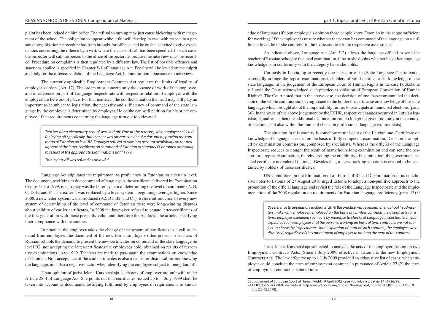plaint has been lodged on him or her. The refusal to turn up may just cause bickering with management of the school. The obligation to appear without fail will develop in case with respect to a person or organisation a procedure has been brought for offence, and he or she is invited to give explanations concerning the offence by a writ, where the cause of call has been specified. In such cases the inspector will call the person to the office of Inspectorate, because the interview must be recorded. Procedure on complaints is then regulated by a different law. The list of possible offences and sanctions applied is specified in Chapter 5-1 of Language Act. Penalty will be levied on the culprit and only for the offence, violation of the Language Act, but not for non-appearance to interview.

The currently applicable Employment Contracts Act regulates the limits of legality of employer's orders (Art. 17). The orders must concern only the essence of work of the employee, and interference on part of Language Inspectorate with respect to relation of employer with the employee are here out of place. For that matter, in the conflict situation the head may still play an important role: subject to legislation, the necessity and sufficiency of command of the state lan– guage by the employee is determined by employer. He or she can well petition for his or her employee, if the requirements concerning the language turn out too elevated.

> *Teacher of an elementary school was laid off. One of the reasons, why employer selected for laying off specifically that teacher was absence on her of a document, proving the command of Estonian on level В2. Employer refused to take into account availability on the pedagogue of the letter-certificate on command of Estonian to category D, obtained according to results of the appropriate examinations until 1999.*

*This laying-off was refuted as unlawful.*

Language Act stipulates the requirement to proficiency in Estonian on a certain level. The document, testifying to due command of language is the certificate delivered by Examination Centre. Up to 1999, in currency was the letter-system of determining the level of command (A, B, C, D, E, and F). Thereafter it was replaced by a level system – beginning, average, higher. Since 2008, a new letter-system was introduced (A2, B1, B2, and C1). Before introduction of every new system of determining of the level of command of Estonian there were long-winding disputes about validity of earlier certificates. In 2008 the lawmaker refused to equate letter-certificates of the first generation with those presently valid, and therefore the Act lacks the article, specifying their compliance with one another.

In practice, the employer takes the change of the system of certificates as a call to demand from employees the document of the new form. Employers often present to teachers of Russian schools the demand to present the new certificates on command of the state language on level B2, not accepting the letter-certificates the employees hold, obtained on results of respective examinations up to 1999. Teachers are made to pass again the examinations on knowledge of Estonian. Non-acceptance of the said certificates is also a cause for dismissal for not knowing the language, and also a negative factor when identifying the employee subject to being laid off.

Upon opinion of jurist Jelena Karzhetskaja, such acts of employer are unlawful under Article 28‑4 of Language Act. She points out that certificates, issued up to 1 July 1999 shall be taken into account as documents, testifying fulfilment by employees of requirements to knowl– edge of language (if upon employer's opinion those people know Estonian in the scope sufficient for working). If the employer is unsure whether the person has command of the language on a sufficient level, he or she can refer to the Inspectorate for the respective assessment.

As indicated above, Language Act (Art. 5‑2) allows the language official to send the teacher of Russian school to the level examination, if he or she doubts whether his or her language knowledge is in conformity with the category he or she holds.

Curiously in Latvia, up to recently one inspector of the State Language Centre could, essentially arrange the repeat examinations to holders of valid certificates in knowledge of the state language. In the judgement of the European Court of Human Rights in the case Podkolzina v. Latvia the Court acknowledged such practice as violation of European Convention of Human Rights<sup>23</sup>. The Court noted that in the above case, the decision of one inspector annulled the decision of the whole commission, having issued to the holder the certificate on knowledge of the state language, which brought about the impossibility for her to participate at municipal elections (para. 36). In the wake of the above judgement by the ECHR, respective changes occurred in Latvian leg– islation, and since then the additional examination can no longer be given (not only in the context of elections, but also within the frame of check on professional language requirements).

The situation in this country is somehow reminiscent of the Latvian one. Certificate on knowledge of language is issued on the basis of fully competent examination. Decision is adopted by examination commission, composed by specialists. Whereas the official of the Language Inspectorate reduces to nought the result of many hours long examination and can send the per‑ son for a repeat examination, thereby eroding the credibility of examination; the government-issued certificate is rendered fictional. Besides that, a nerve-racking situation is created to be sustained by holders of those certificates.

UN Committee on the Elimination of all Forms of Racial Discrimination in its conclusive notes to Estonia of 27 August 2010 urged Estonia to adopt a non-punitive approach to the promotion of the official language and revisit the role of the Language Inspectorate and the implementation of the 2008 regulation on requirements for Estonian language proficiency (para. 13).<sup>24</sup>

> *By reference to appeals of teachers, in 2010 the practice was revealed, when school headmasters make with employees, employed on the basis of termless contracts, new contracts for a term. Employer explained such acts by reference to checks of Language Inspectorate. It was explained to the employees that the persons, working on basis of term contracts, are not subject to checks by Inspectorate. Upon expiration of term of such contract, the employee was dismissed, regardless of the commitment of employer to prolong the term of the contract.*

Jurist Jelena Karzhetskaja subjected to analysis the acts of the employer, basing on two Employment Contracts Acts. (Since 1 July 2009, effective in Estonia is the new Employment Contracts Act). The law effective up to 1 July 2009 provided an exhaustive list of cases, when employer could conclude the term of employment contract. In pursuance of Article 27 (2) the term of employment contract is entered into:

<sup>23</sup> Judgement of European Court of Human Rights, 9 April 2002, case Podkolzina v. Latvia, №46726/99. 24 CERD/C/EST/CO/8‑9, available at: http://www2.ohchr.org/english/bodies/cerd/docs/co/CERD‑C-EST-CO-8\_9. doc (20.12.2010).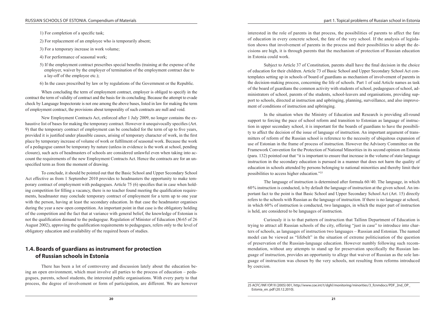1) For completion of a specific task;

2) For replacement of an employee who is temporarily absent;

- 3) For a temporary increase in work volume;
- 4) For performance of seasonal work;
- 5) If the employment contract prescribes special benefits (training at the expense of the employer, waiver by the employer of termination of the employment contract due to a lay-off of the employee etc.);
- 6) In the cases prescribed by law or by regulations of the Government or the Republic.

When concluding the term of employment contract, employer is obliged to specify in the contract the term of validity of contract and the basis for its concluding. Because the attempt to evade check by Language Inspectorate is not one among the above bases, listed in law for making the term of employment contract, the provisions about temporality of such contracts are null and void.

New Employment Contracts Act, enforced after 1 July 2009, no longer contains the ex‑ haustive list of bases for making the temporary contract. However it unequivocally specifies (Art. 9) that the temporary contract of employment can be concluded for the term of up to five years, provided it is justified under plausible causes, arising of temporary character of work, in the first place by temporary increase of volume of work or fulfilment of seasonal work. Because the work of a pedagogue cannot be temporary by nature (unless in evidence is the work at school, pending closure), such acts of headmasters of schools are considered unlawful even when taking into account the requirements of the new Employment Contracts Act. Hence the contracts are for an unspecified term as from the moment of drawing.

To conclude, it should be pointed out that the Basic School and Upper Secondary School Act effective as from 1 September 2010 provides to headmasters the opportunity to make temporary contract of employment with pedagogues. Article 75 (6) specifies that in case when holding competition for filling a vacancy, there is no teacher found meeting the qualification require– ments, headmaster may conclude temporary contract of employment for a term up to one year with the person, having at least the secondary education. In that case the headmaster organises during the year a new open competition. An important point in that case is the obligatory holding of the competition and the fact that at variance with general belief, the knowledge of Estonian is not the qualification demand to the pedagogue. Regulation of Minister of Education (№65 of 26 August 2002), approving the qualification requirements to pedagogues, refers only to the level of obligatory education and availability of the required hours of studies.

# **1.4. Boards of guardians as instrument for protection of Russian schools in Estonia**

There has been a lot of controversy and discussion lately about the education be– ing an open environment, which must involve all parties to the process of education – pedagogues, parents, school students, the interested public organisations. With every party to that process, the degree of involvement or form of participation, are different. We are however interested in the role of parents in that process, the possibilities of parents to affect the fate of education in every concrete school, the fate of the very school. If the analysis of legislation shows that involvement of parents in the process and their possibilities to adopt the decisions are high, it is through parents that the mechanism of protection of Russian education in Estonia could work.

Subject to Article 37 of Constitution, parents shall have the final decision in the choice of education for their children. Article 73 of Basic School and Upper Secondary School Act contemplates setting up in schools of board of guardians as mechanism of involvement of parents in the decision-making process, concerning the life of schools. Part 1 of said Article names as task of the board of guardians the common activity with students of school, pedagogues of school, ad‑ ministrators of school, parents of the students, school-leavers and organisations, providing support to schools, directed at instruction and upbringing, planning, surveillance, and also improvement of conditions of instruction and upbringing.

In the situation when the Ministry of Education and Research is providing all-round support to forcing the pace of school reform and transition to Estonian as language of instruction in upper secondary school, it is important for the boards of guardians to have the possibility to affect the decision of the issue of language of instruction. An important argument of trans‑ mitters of reform of the Russian school is reference to the necessity of ubiquitous expansion of use of Estonian in the frame of process of instruction. However the Advisory Committee on the Framework Convention for the Protection of National Minorities in its second opinion on Estonia (para. 132) pointed out that "it is important to ensure that increase in the volume of state language instruction in the secondary education is pursued in a manner that does not harm the quality of education in schools attended by persons belonging to national minorities and thereby limit their possibilities to access higher education."25

The language of instruction is determined after formula  $60/40$ . The language, in which 60 % instruction is conducted, is by default the language of instruction at the given school. An im‑ portant fact to the point is that Basic School and Upper Secondary School Act (Art. 15) directly refers to the schools with Russian as the language of instruction. If there is no language at school, in which 60 % of instruction is conducted, two languages, in which the major part of instruction is held, are considered to be languages of instruction.

Curiously it is to that pattern of instruction that Tallinn Department of Education is trying to attract all Russian schools of the city, offering "just in case" to introduce into charters of schools, as languages of instruction two languages – Russian and Estonian. The named model can be viewed as "lifebelt" in the situation of extreme politicisation of the question of preservation of the Russian-language education. However numbly following such recom‑ mendation, without any attempts to stand up for preservation specifically the Russian lan– guage of instruction, provides an opportunity to allege that waiver of Russian as the sole lan– guage of instruction was chosen by the very schools, not resulting from reforms introduced by coercion.

<sup>25</sup> ACFC/INF/OP/II (2005) 001, http://www.coe.int/t/dghl/monitoring/minorities/3\_fcnmdocs/PDF\_2nd\_OP\_ Estonia\_en. pdf (20.12.2010).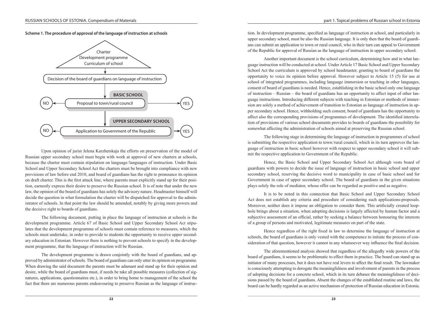**Scheme 1. The procedure of approval of the language of instruction at schools**



Upon opinion of jurist Jelena Karzhetskaja the efforts on preservation of the model of Russian upper secondary school must begin with work at approval of new charters at schools, because the charter must contain stipulation on language / languages of instruction. Under Basic School and Upper Secondary School Act the charters must be brought into compliance with new provisions of law before end 2010, and board of guardians has the right to pronounce its opinion on draft charter. This is the first attack line, where parents must explicitly stand up for their position, earnestly express their desire to preserve the Russian school. It is of note that under the new law, the opinion of the board of guardians has solely the advisory nature. Headmaster himself will decide the question in what formulation the charter will be dispatched for approval to the administrator of schools. In that point the law should be amended, notably by giving more powers and the decisive right to boards of guardians.

The following document, putting in place the language of instruction at schools is the development programme. Article 67 of Basic School and Upper Secondary School Act stipulates that the development programme of schools must contain reference to measures, which the schools must undertake, in order to provide to students the opportunity to receive upper secondary education in Estonian. However there is nothing to prevent schools to specify in the development programme, that the language of instruction will be Russian.

The development programme is drawn conjointly with the board of guardians, and approved by administrator of schools. The board of guardians can only utter its opinion on programme. When drawing the said document the parents must be adamant and stand up for their opinion and desire, while the board of guardians must, if needs be take all possible measures (collection of signatures, applications, questionnaires etc.), in order to bring home to management of the school the fact that there are numerous parents endeavouring to preserve Russian as the language of instruction. In development programme, specified as language of instruction at school, and particularly in upper secondary school, must be also the Russian language. It is only then that the board of guardians can submit an application to town or rural council, who in their turn can appeal to Government of the Republic for approval of Russian as the language of instruction in upper secondary school.

Another important document is the school curriculum, determining how and in what lan– guage instruction will be conducted at school. Under Article 17 Basic School and Upper Secondary School Act the curriculum is approved by school headmaster, granting to board of guardians the opportunity to voice its opinion before approval. However subject to Article 15 (5) for use at school of integrated programmes, including language immersion or teaching in other languages, consent of board of guardians is needed. Hence, establishing in the basic school only one language of instruction – Russian – the board of guardians has an opportunity to affect input of other lan– guage instructions. Introducing different subjects with teaching in Estonian or methods of immersion are solely a method of achievement of transition to Estonian as language of instruction in upper secondary school. Hence, withholding such consent, board of guardians has the opportunity to affect also the corresponding provisions of programmes of development. The identified interrelation of provisions of various school documents provides to boards of guardians the possibility for somewhat affecting the administration of schools aimed at preserving the Russian school.

The following stage in determining the language of instruction in programmes of school is submitting the respective application to town/rural council, which in its turn approves the lan– guage of instruction in basic school however with respect to upper secondary school it will submit the respective application to Government of the Republic.

Hence, the Basic School and Upper Secondary School Act although vests board of guardians with powers to decide the issue of language of instruction in basic school and upper secondary school, reserving the decisive word to municipality in case of basic school and for Government in case of upper secondary school. The board of guardians in the given situations plays solely the role of mediator, whose offer can be regarded as positive and as negative.

It is to be noted in this connection that Basic School and Upper Secondary School Act does not establish any criteria and procedure of considering such applications-proposals. Moreover, neither does it impose an obligation to consider them. This artificially created loophole brings about a situation, when adopting decisions is largely affected by human factor and a subjective assessment of an official, rather by seeking a balance between honouring the interests of a group of persons and motivated, legitimate measures on part of the state.

Hence regardless of the right fixed in law to determine the language of instruction at schools, the board of guardians is only vested with the competence to initiate the process of consideration of that question, however it cannot in any whatsoever way influence the final decision.

The aforementioned analysis showed that regardless of the allegedly wide powers of the board of guardians, it seems to be problematic to effect them in practice. The board can stand up as initiator of many processes, but it does not have real levers to affect the final result. The lawmaker is consciously attempting to derogate the meaningfulness and involvement of parents in the process of adopting decisions for a concrete school, which in its turn debases the meaningfulness of decisions passed by the board of guardians. Absent the changes of the established routine and laws, the board can be hardly regarded as an active mechanism of protection of Russian education in Estonia.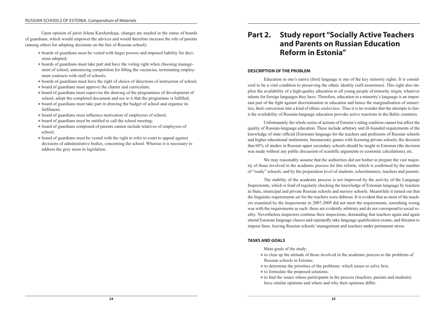Upon opinion of jurist Jelena Karzhetskaja, changes are needed in the status of boards of guardians, which would empower the advices and would therefore increase the role of parents (among others for adopting decisions on the fate of Russian school):

- $\bullet$  boards of guardians must be vested with larger powers and imposed liability for decisions adopted;
- boards of guardians must take part and have the voting right when choosing management of school, announcing competition for filling the vacancies, terminating employment contracts with staff of schools;
- boards of guardians must have the right of choice of directions of instruction of school;
- board of guardians must approve the charter and curriculum;
- board of guardians must supervise the drawing of the programmes of development of school, adopt the completed document and see to it that the programme is fulfilled;
- board of guardians must take part in drawing the budget of school and organise its fulfilment;
- $\bullet$  board of guardians must influence motivation of employees of school;
- $\bullet$  board of guardians must be entitled to call the school meeting;
- $\bullet$  board of guardians composed of parents cannot include relatives of employees of school;
- board of guardians must be vested with the right to refer to court to appeal against decisions of administrative bodies, concerning the school. Whereas it is necessary to address the grey areas in legislation.

# **Part 2. Study report "Socially Active Teachers and Parents on Russian Education Reform in Estonia"**

#### **DESCRIPTION OF THE PROBLEM**

Education in one's native (first) language is one of the key minority rights. It is considered to be a vital condition to preserving the ethnic identity (self-awareness). This right also implies the availability of a high-quality education to all young people of minority origin, whatever talents for foreign languages they have. Therefore, education in a minority's language is an important part of the fight against discrimination in education and hence the marginalisation of minorities, their conversion into a kind of ethnic *underclass*. Thus it is no wonder that the attempts to lim‑ it the availability of Russian-language education provoke active reactions in the Baltic countries.

Unfortunately the whole series of actions of Estonia's ruling coalition cannot but affect the quality of Russian-language education. These include arbitrary and ill-founded requirements of the knowledge of state/ $\alpha$ fficial (Estonian) language for the teachers and professors of Russian schools and higher educational institutions, bureaucratic games with licensing private schools, the decision that 60 % of studies in Russian upper secondary schools should be taught in Estonian (the decision was made without any public discussion of scientific arguments or economic calculations), etc.

We may reasonably assume that the authorities did not bother to prepare the vast majority of those involved in the academic process for this reform, which is confirmed by the number of "ready" schools, and by the preparation level of students, schoolmasters, teachers and parents.

The stability of the academic process is not improved by the activity of the Language Inspectorate, which is fond of regularly checking the knowledge of Estonian language by teachers in State, municipal and private Russian schools and nursery schools. Meanwhile it turned out that the linguistic requirements set for the teachers were dubious. It is evident that as most of the teachers examined by the Inspectorate in 2007‑2009 did not meet the requirements, something wrong was with the requirements as such: these are evidently arbitrary and do not correspond to social reality. Nevertheless inspectors continue their inspections, demanding that teachers again and again attend Estonian language classes and repeatedly take language qualification exams, and threaten to impose fines, leaving Russian schools' management and teachers under permanent stress.

#### **TASKS AND GOALS**

- Main goals of the study:
- to clear up the attitude of those involved in the academic process to the problems of Russian schools in Estonia;
- $\bullet$  to determine the priorities of the problems: which issues to solve first;
- $\bullet$  to formulate the proposed solutions;
- $\bullet$  to find the issues whose participants in the process (teachers, parents and students) have similar opinions and where and why their opinions differ.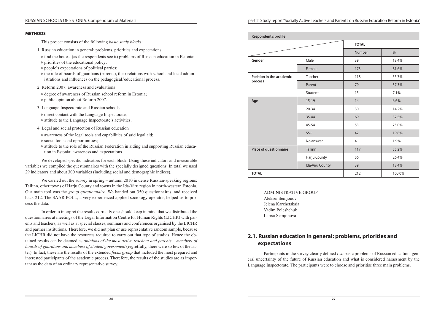#### RUSSIAN SCHOOLS OF ESTONIA. Compendium of Materials

#### **METHODS**

This project consists of the following *basic study blocks*:

- 1. Russian education in general: problems, priorities and expectations
- $\bullet$  find the hottest (as the respondents see it) problems of Russian education in Estonia;
- $\bullet$  priorities of the educational policy;
- $\bullet$  people's expectations of political parties;
- $\bullet$  the role of boards of guardians (parents), their relations with school and local administrations and influences on the pedagogical / educational process.
- 2. Reform 2007: awareness and evaluations
- $\bullet$  degree of awareness of Russian school reform in Estonia;
- public opinion about Reform 2007.
- 3. Language Inspectorate and Russian schools
- $\bullet$  direct contact with the Language Inspectorate;
- attitude to the Language Inspectorate's activities.
- 4. Legal and social protection of Russian education
- awareness of the legal tools and capabilities of said legal aid;
- $\bullet$  social tools and opportunities;
- attitude to the role of the Russian Federation in aiding and supporting Russian educa– tion in Estonia: awareness and expectations.

We developed specific indicators for each block. Using these indicators and measurable variables we compiled the questionnaires with the specially designed questions. In total we used 29 indicators and about 300 variables (including social and demographic indices).

We carried out the survey in spring – autumn 2010 in dense Russian-speaking regions: Tallinn, other towns of Harju County and towns in the Ida-Viru region in north-western Estonia. Our main tool was the *group questionnaire*. We handed out 350 questionnaires, and received back 212. The SAAR POLL, a very experienced applied sociology operator, helped us to pro– cess the data.

In order to interpret the results correctly one should keep in mind that we distributed the questionnaires at meetings of the Legal Information Centre for Human Rights (LICHR) with parents and teachers, as well as at special classes, seminars and conferences organised by the LICHR and partner institutions. Therefore, we did not plan or use representative random sample, because the LICHR did not have the resources required to carry out that type of studies. Hence the obtained results can be deemed as *opinions of the most active teachers and parents – members of boards of guardians and members of student government* (regretfully, there were so few of the latter). In fact, these are the results of the extended *focus group* that included the most prepared and interested participants of the academic process. Therefore, the results of the studies are as important as the data of an ordinary representative survey.

| Respondent's profile     |                 |                |               |  |  |  |  |  |
|--------------------------|-----------------|----------------|---------------|--|--|--|--|--|
|                          |                 | <b>TOTAL</b>   |               |  |  |  |  |  |
|                          |                 | <b>Number</b>  | $\frac{0}{0}$ |  |  |  |  |  |
| Gender                   | Male            | 39             | 18.4%         |  |  |  |  |  |
|                          | Female          | 173            | 81.6%         |  |  |  |  |  |
| Position in the academic | Teacher         | 118            | 55.7%         |  |  |  |  |  |
| process                  | Parent          | 79             | 37.3%         |  |  |  |  |  |
|                          | Student         | 15             | 7.1%          |  |  |  |  |  |
| Age                      | $15-19$         | 14             | 6.6%          |  |  |  |  |  |
|                          | $20 - 34$       | 30             | 14.2%         |  |  |  |  |  |
|                          | $35 - 44$       | 69             | 32.5%         |  |  |  |  |  |
|                          | $45 - 54$       | 53             | 25.0%         |  |  |  |  |  |
|                          | $55+$           | 42             | 19.8%         |  |  |  |  |  |
|                          | No answer       | $\overline{4}$ | 1.9%          |  |  |  |  |  |
| Place of questionnaire   | <b>Tallinn</b>  | 117            | 55.2%         |  |  |  |  |  |
|                          | Harju County    | 56             | 26.4%         |  |  |  |  |  |
|                          | Ida-Viru County | 39             | 18.4%         |  |  |  |  |  |
| <b>TOTAL</b>             |                 | 212            | 100.0%        |  |  |  |  |  |

ADMINISTRATIVE GROUP Aleksei Semjonov Jelena Karzhetskaja Vadim Poleshchuk Larisa Semjonova

# **2.1. Russian education in general: problems, priorities and expectations**

Participants in the survey clearly defined *two* basic problems of Russian education: general uncertainty of the future of Russian education and what is considered harassment by the Language Inspectorate. The participants were to choose and prioritise three main problems.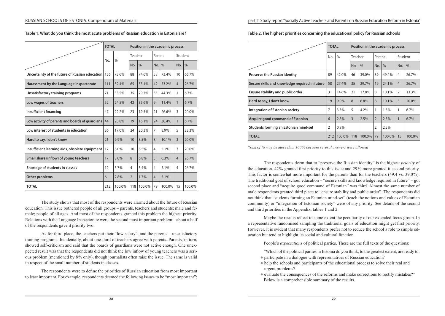|                                                 | <b>TOTAL</b>         |        | Position in the academic process |         |                |        |                |         |  |  |
|-------------------------------------------------|----------------------|--------|----------------------------------|---------|----------------|--------|----------------|---------|--|--|
|                                                 |                      |        |                                  | Teacher |                | Parent |                | Student |  |  |
|                                                 | $\frac{0}{0}$<br>No. | No.    | $\frac{0}{0}$                    | No.     | $\frac{0}{0}$  | No.    | $\frac{0}{0}$  |         |  |  |
| Uncertainty of the future of Russian education  | 156                  | 73.6%  | 88                               | 74.6%   | 58             | 73.4%  | 10             | 66.7%   |  |  |
| Harassment by the Language Inspectorate         | 111                  | 52.4%  | 65                               | 55.1%   | 42             | 53.2%  | $\overline{4}$ | 26.7%   |  |  |
| Unsatisfactory training programs                | 71                   | 33.5%  | 35                               | 29.7%   | 35             | 44.3%  | 1              | 6.7%    |  |  |
| Low wages of teachers                           | 52                   | 24.5%  | 42                               | 35.6%   | 9              | 11.4%  | $\mathbf{1}$   | 6.7%    |  |  |
| <b>Insufficient financing</b>                   | 47                   | 22.2%  | 23                               | 19.5%   | 21             | 26.6%  | 3              | 20.0%   |  |  |
| Low activity of parents and boards of guardians | 44                   | 20.8%  | 19                               | 16.1%   | 24             | 30.4%  | 1              | 6.7%    |  |  |
| Low interest of students in education           | 36                   | 17.0%  | 24                               | 20.3%   | 7              | 8.9%   | 5              | 33.3%   |  |  |
| Hard to say, I don't know                       | 21                   | 9.9%   | 10                               | 8.5%    | 8              | 10.1%  | $\overline{3}$ | 20.0%   |  |  |
| Insufficient learning aids, obsolete equipment  | 17                   | 8.0%   | 10                               | 8.5%    | 4              | 5.1%   | 3              | 20.0%   |  |  |
| Small share (inflow) of young teachers          | 17                   | 8.0%   | 8                                | 6.8%    | 5              | 6.3%   | $\overline{4}$ | 26.7%   |  |  |
| Shortage of students in classes                 | 12                   | 5.7%   | $\overline{4}$                   | 3.4%    | 4              | 5.1%   | 4              | 26.7%   |  |  |
| Other problems                                  | 6                    | 2.8%   | $\overline{2}$                   | 1.7%    | $\overline{4}$ | 5.1%   |                |         |  |  |
| <b>TOTAL</b>                                    | 212                  | 100.0% | 118                              | 100.0%  | 79             | 100.0% | 15             | 100.0%  |  |  |

**Table 1. What do you think the most acute problems of Russian education in Estonia are?**

The study shows that most of the respondents were alarmed about the future of Russian education. This issue bothered people of all groups – parents, teachers and students; male and female; people of all ages. And most of the respondents granted this problem the highest priority. Relations with the Language Inspectorate were the second most important problem – about a half of the respondents gave it priority two.

As for third place, the teachers put their "low salary", and the parents – unsatisfactory training programs. Incidentally, about one-third of teachers agree with parents. Parents, in turn, showed self-criticism and said that the boards of guardians were not active enough. One unex– pected result was that the respondents did not think the low inflow of young teachers was a serious problem (mentioned by 8 % only), though journalists often raise the issue. The same is valid in respect of the small number of students in classes.

The respondents were to define the priorities of Russian education from most important to least important. For example, respondents deemed the following issues to be "most important": **Table 2. The highest priorities concerning the educational policy for Russian schools**

|                                                |                | <b>TOTAL</b><br>Position in the academic process |                |               |                |               |                |               |  |
|------------------------------------------------|----------------|--------------------------------------------------|----------------|---------------|----------------|---------------|----------------|---------------|--|
|                                                | No.            | $\%$                                             |                | Teacher       |                | Parent        | Student        |               |  |
|                                                |                |                                                  | No.            | $\frac{0}{0}$ | No.            | $\frac{0}{0}$ | No.            | $\frac{0}{0}$ |  |
| <b>Preserve the Russian identity</b>           | 89             | 42.0%                                            | 46             | 39.0%         | 39             | 49.4%         | 4              | 26.7%         |  |
| Secure skills and knowledge required in future | 58             | 27.4%                                            | 35             | 29.7%         | 19             | 24.1%         | $\overline{4}$ | 26.7%         |  |
| Ensure stability and public order              | 31             | 14.6%                                            | 21             | 17.8%         | 8              | 10.1%         | $\overline{2}$ | 13.3%         |  |
| Hard to say, I don't know                      | 19             | 9.0%                                             | 8              | 6.8%          | 8              | 10.1%         | 3              | 20.0%         |  |
| Integration of Estonian society                | 7              | 3.3%                                             | 5              | 4.2%          | 1              | 1.3%          | 1              | 6.7%          |  |
| Acquire good command of Estonian               | 6              | 2.8%                                             | $\overline{3}$ | 2.5%          | $\overline{2}$ | 2.5%          | 1              | 6.7%          |  |
| Students forming an Estonian mind-set          | $\overline{2}$ | $0.9\%$                                          |                |               | 2              | 2.5%          |                |               |  |
| <b>TOTAL</b>                                   | 212            | 100.0%                                           | 118            | 100.0%        | 79             | 100.0%        | 15             | 100.0%        |  |

*\*sum of % may be more than 100 % because several answers were allowed*

The respondents deem that to "preserve the Russian identity" is the highest *priority* of the education. 42 % granted first priority to this issue and 29 % more granted it second priority. This factor is somewhat more important for the parents than for the teachers (49.4 vs. 39.0 %). The traditional goal of school education – "secure skills and knowledge required in future" – got second place and "acquire good command of Estonian" was third. Almost the same number of male respondents granted third place to "ensure stability and public order". The respondents did not think that "students forming an Estonian mind-set" (teach the notions and values of Estonian community) or "integration of Estonian society" were of any priority. See details of the second and third priorities in the Appendix, tables 1 and 2.

Maybe the results reflect to some extent the peculiarity of our extended focus group. In a representative randomised sampling the traditional goals of education might get first priority. However, it is evident that many respondents prefer not to reduce the school's role to simple education but tend to highlight its social and cultural function.

People's *expectations* of political parties. These are the full texts of the questions:

"Which of the political parties in Estonia do you think, to the greatest extent, are ready to:

- $\bullet$  participate in a dialogue with representatives of Russian education?
- help the schools and participants of the educational process to solve their real and urgent problems?
- evaluate the consequences of the reforms and make corrections to rectify mistakes?" Below is a comprehensible summary of the results.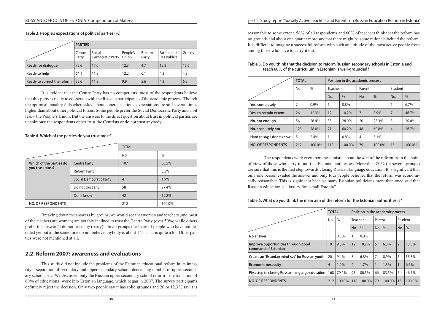**Table 3. People's expectations of political parties (%)**

|                             | <b>PARTIES</b>  |                            |                   |                 |                             |        |
|-----------------------------|-----------------|----------------------------|-------------------|-----------------|-----------------------------|--------|
|                             | Centre<br>Party | Social<br>Democratic Party | People's<br>Union | Reform<br>Party | Fatherland -<br>Res Publica | Greens |
| Ready for dialogue          | 75.6            | 17.0                       | 12.3              | 4.7             | 12.8                        | 15.6   |
| Ready to help               | 64.1            | 11.8                       | 12.2              | 6.1             | 4.2                         | 4.3    |
| Ready to correct the reform | 55.6            | 11.8                       | 9.9               | 5.6             | 4.2                         | 6.2    |

It is evident that the Centre Party has no competitors: most of the respondents believe that this party is ready to cooperate with the Russian participants of the academic process. Though the optimism notably falls when asked about concrete actions, expectations are still several times higher than about other political forces. Some people prefer the Social Democratic Party and a bit less – the People's Union. But the answers to the direct question about trust in political parties are unanimous: the respondents either trust the Centrists or do not trust anybody.

**Table 4. Which of the parties do you trust most?**

|                                            |                                | <b>TOTAL</b>   |        |  |  |  |  |
|--------------------------------------------|--------------------------------|----------------|--------|--|--|--|--|
|                                            |                                | No.            | $\%$   |  |  |  |  |
| Which of the parties do<br>you trust most? | <b>Centre Party</b>            | 107            | 50.5%  |  |  |  |  |
|                                            | <b>Reform Party</b>            |                | 0.5%   |  |  |  |  |
|                                            | <b>Social Democratic Party</b> | $\overline{4}$ | 1.9%   |  |  |  |  |
|                                            | Do not trust any               | 58             | 27.4%  |  |  |  |  |
|                                            | Don't know                     | 42             | 19.8%  |  |  |  |  |
| <b>NO. OF RESPONDENTS</b>                  |                                | 212            | 100.0% |  |  |  |  |

Breaking down the answers by groups, we would see that women and teachers (and most of the teachers are women) are notably inclined to trust the Centre Party (over 50 %) while others prefer the answer "I do not trust any (party)". In all groups the share of people who have not decided yet but at the same time do not believe anybody is about  $1/5$ . That is quite a lot. Other par ties were not mentioned at all.

# **2.2. Reform 2007: awareness and evaluations**

This study did not include the problems of the Estonian educational reform in its integrity – separation of secondary and upper secondary school, decreasing number of upper secondary schools, etc. We discussed only the Russian upper secondary school reform – the transition of 60 % of educational work into Estonian language, which began in 2007. The survey participants definitely reject the decision. Only two people say it has solid grounds and 26 or 12.3% say it is

### part 2. Study report "Socially Active Teachers and Parents on Russian Education Reform in Estonia"

reasonable to some extent. 58 % of all respondents and 60 % of teachers think that the reform has no grounds and about one quarter more say that there might be some rationale behind the reform. It is difficult to imagine a successful reform with such an attitude of the most active people from among those who have to carry it out.

|                           | <b>TOTAL</b> |               | Position in the academic process |        |                   |               |                |               |  |  |  |  |
|---------------------------|--------------|---------------|----------------------------------|--------|-------------------|---------------|----------------|---------------|--|--|--|--|
|                           | No.          | $\frac{0}{0}$ | Teacher                          |        | Student<br>Parent |               |                |               |  |  |  |  |
|                           |              |               | No.                              | $\%$   | No.               | $\frac{0}{0}$ | No.            | $\frac{0}{0}$ |  |  |  |  |
| Yes, completely           | 2            | $0.9\%$       | 1                                | 0.8%   |                   |               |                | 6.7%          |  |  |  |  |
| Yes, to certain extent    | 26           | 12.3%         | 12                               | 10.2%  | $\overline{7}$    | 8.9%          | $\overline{7}$ | 46.7%         |  |  |  |  |
| No, not enough            | 56           | 26.4%         | 33                               | 28.0%  | 20                | 25.3%         | 3              | 20.0%         |  |  |  |  |
| No, absolutely not        | 123          | 58.0%         | 71                               | 60.2%  | 48                | 60.8%         | $\overline{4}$ | 26.7%         |  |  |  |  |
| Hard to say, I don't know | 5            | 2.4%          | 1                                | 0.8%   | $\overline{4}$    | 5.1%          |                |               |  |  |  |  |
| <b>NO. OF RESPONDENTS</b> | 212          | 100.0%        | 118                              | 100.0% | 79                | 100.0%        | 15             | 100.0%        |  |  |  |  |

#### **Table 5. Do you think that the decision to reform Russian secondary schools in Estonia and teach 60% of the curriculum in Estonian is well-grounded?**

The respondents were even more pessimistic about the *aim* of the reform from the point of view of those who carry it out, i. e. Estonian authorities. More than 80 % (in several groups) are sure that this is the first step towards closing Russian-language education. It is significant that only one person evaded the answer and only four people believed that the reform was economically reasonable. This is significant because many Estonian politicians more than once said that Russian education is a luxury for "small Estonia".

**Table 6. What do you think the main aim of the reform for the Estonian authorities is?**

|                                                           |                | <b>TOTAL</b> | Position in the academic process |          |                |         |                |        |  |
|-----------------------------------------------------------|----------------|--------------|----------------------------------|----------|----------------|---------|----------------|--------|--|
|                                                           | No.            | $\%$         | Teacher                          |          | Parent         |         | Student        |        |  |
|                                                           |                |              | No.                              | $\%$     | No.            | $\%$    | No.            | $\%$   |  |
| No answer                                                 |                | 0.5%         | 1                                | 0.8%     |                |         |                |        |  |
| Improve opportunities through good<br>command of Estonian | 19             | $9.0\%$      | 12                               | $10.2\%$ | 5              | $6.3\%$ | $\overline{2}$ | 13.3%  |  |
| Create an "Estonian mind-set" for Russian youth           | 20             | 9.4%         | 8                                | 6.8%     | $\overline{7}$ | 8.9%    | 5              | 33.3%  |  |
| <b>Economic necessity</b>                                 | $\overline{4}$ | 1.9%         | $\overline{2}$                   | 1.7%     | $\mathbf{1}$   | 1.3%    | $\mathbf{1}$   | 6.7%   |  |
| First step to closing Russian-language education          | 168            | 79.2%        | 95                               | 80.5%    | 66             | 83.5%   | $\overline{7}$ | 46.7%  |  |
| <b>NO. OF RESPONDENTS</b>                                 | 212            | 100.0%       | 118                              | 100.0%   | 79             | 100.0%  | 15             | 100.0% |  |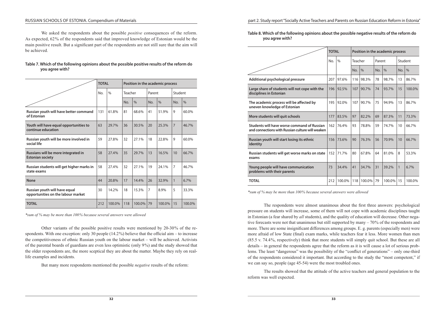#### RUSSIAN SCHOOLS OF ESTONIA. Compendium of Materials

We asked the respondents about the possible *positive* consequences of the reform. As expected, 62 % of the respondents said that improved knowledge of Estonian would be the main positive result. But a significant part of the respondents are not still sure that the aim will be achieved.

#### **Table 7. Which of the following opinions about the possible positive results of the reform do you agree with?**

|                                                                     | <b>TOTAL</b> |               | Position in the academic process |        |        |               |                |               |  |  |
|---------------------------------------------------------------------|--------------|---------------|----------------------------------|--------|--------|---------------|----------------|---------------|--|--|
|                                                                     | No.          | $\frac{0}{0}$ | Teacher                          |        | Parent |               | Student        |               |  |  |
|                                                                     |              |               | No.                              | $\%$   | No.    | $\frac{0}{0}$ | No.            | $\frac{0}{0}$ |  |  |
| Russian youth will have better command<br>of Estonian               | 131          | 61.8%         | 81                               | 68.6%  | 41     | 51.9%         | 9              | 60.0%         |  |  |
| Youth will have equal opportunities to<br>continue education        | 63           | 29.7%         | 36                               | 30.5%  | 20     | 25.3%         | $\overline{7}$ | 46.7%         |  |  |
| Russian youth will be more involved in<br>social life               | 59           | 27.8%         | 32                               | 27.1%  | 18     | 22.8%         | 9              | 60.0%         |  |  |
| Russians will be more integrated in<br><b>Estonian society</b>      | 58           | 27.4%         | 35                               | 29.7%  | 13     | 16.5%         | 10             | 66.7%         |  |  |
| Russian students will get higher marks in<br>state exams            | 58           | 27.4%         | 32                               | 27.1%  | 19     | 24.1%         | $\overline{7}$ | 46.7%         |  |  |
| <b>None</b>                                                         | 44           | 20.8%         | 17                               | 14.4%  | 26     | 32.9%         | $\mathbf{1}$   | 6.7%          |  |  |
| Russian youth will have equal<br>opportunities on the labour market | 30           | 14.2%         | 18                               | 15.3%  | 7      | 8.9%          | 5              | 33.3%         |  |  |
| <b>TOTAL</b>                                                        | 212          | 100.0%        | 118                              | 100.0% | 79     | 100.0%        | 15             | 100.0%        |  |  |

*\*sum of % may be more than 100 % because several answers were allowed*

Other variants of the possible positive results were mentioned by 20–30% of the respondents. With one exception: only 30 people (14.2<sup>%</sup>) believe that the official aim – to increase the competitiveness of ethnic Russian youth on the labour market – will be achieved. Activists of the parental boards of guardians are even less optimistic (only 9 %) and the study showed that the older respondents are, the more sceptical they are about the matter. Maybe they rely on reallife examples and incidents.

But many more respondents mentioned the possible *negative* results of the reform:

**Table 8. Which of the following opinions about the possible negative results of the reform do you agree with?**

|                                                                                                 | <b>TOTAL</b> |               | Position in the academic process |               |        |               |              |               |  |
|-------------------------------------------------------------------------------------------------|--------------|---------------|----------------------------------|---------------|--------|---------------|--------------|---------------|--|
|                                                                                                 | No.          | $\frac{0}{0}$ | Teacher                          |               | Parent |               | Student      |               |  |
|                                                                                                 |              |               | No.                              | $\frac{0}{0}$ | No.    | $\frac{0}{0}$ | No.          | $\frac{0}{0}$ |  |
| Additional psychological pressure                                                               | 207          | 97.6%         | 116                              | 98.3%         | 78     | 98.7%         | 13           | 86.7%         |  |
| Large share of students will not cope with the<br>disciplines in Estonian                       | 196          | 92.5%         | 107                              | 90.7%         | 74     | 93.7%         | 15           | 100.0%        |  |
| The academic process will be affected by<br>uneven knowledge of Estonian                        | 195          | 92.0%         | 107                              | 90.7%         | 75     | 94.9%         | 13           | 86.7%         |  |
| More students will quit schools                                                                 | 177          | 83.5%         | 97                               | 82.2%         | 69     | 87.3%         | 11           | 73.3%         |  |
| Students will have worse command of Russian<br>and connections with Russian culture will weaken | 162          | 76.4%         | 93                               | 78.8%         | 59     | 74.7%         | 10           | 66.7%         |  |
| Russian youth will start losing its ethnic<br>identity                                          | 156          | 73.6%         | 90                               | 76.3%         | 56     | 70.9%         | 10           | 66.7%         |  |
| Russian students will get worse marks on state<br>exams                                         | 152          | 71.7%         | 80                               | 67.8%         | 64     | 81.0%         | 8            | 53.3%         |  |
| Young people will have communication<br>problems with their parents                             | 73           | 34.4%         | 41                               | 34.7%         | 31     | 39.2%         | $\mathbf{1}$ | 6.7%          |  |
| <b>TOTAL</b>                                                                                    | 212          | 100.0%        | 118                              | 100.0%        | 79     | 100.0%        | 15           | 100.0%        |  |

*\*sum of % may be more than 100 % because several answers were allowed*

The respondents were almost unanimous about the first three answers: psychological pressure on students will increase, some of them will not cope with academic disciplines taught in Estonian (a fear shared by *all* students), and the quality of education will decrease. Other negative forecasts were not that unanimous but still supported by many – 70 % of the respondents and more. There are some insignificant differences among groups. E. g. parents (especially men) were more afraid of low State (final) exam marks, while teachers fear it less. More women than men (85.5 v. 74.4 %, respectively) think that more students will simply quit school. But these are all  $\delta$  details – in general the respondents agree that the reform as it is will cause a lot of serious prob– lems. The least "dangerous" was the possibility of the "conflict of generations" – only one-third of the respondents considered it important. But according to the study the "most competent," if we can say so, people (age 45–54) were the most troubled ones.

The results showed that the attitude of the active teachers and general population to the reform was well expected.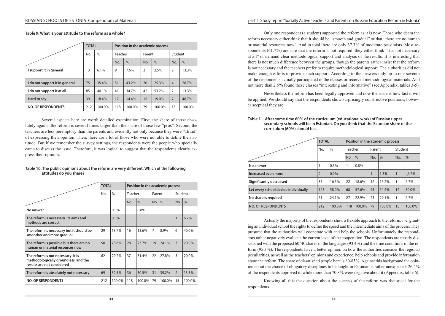part 2. Study report "Socially Active Teachers and Parents on Russian Education Reform in Estonia"

**Table 9. What is your attitude to the reform as a whole?**

|                                | <b>TOTAL</b> |               | Position in the academic process |               |                |        |                |        |  |  |
|--------------------------------|--------------|---------------|----------------------------------|---------------|----------------|--------|----------------|--------|--|--|
|                                | No.          | $\frac{0}{0}$ | Teacher                          |               | Parent         |        | Student        |        |  |  |
|                                |              |               | No.                              | $\frac{0}{0}$ | No.            | $\%$   | No.            | $\%$   |  |  |
| I support it in general        | 13           | 6.1%          | 9                                | 7.6%          | $\overline{2}$ | 2.5%   | $\overline{2}$ | 13.3%  |  |  |
| I do not support it in general | 75           | 35.4%         | 51                               | 43.2%         | 20             | 25.3%  | $\overline{4}$ | 26.7%  |  |  |
| I do not support it at all     | 85           | 40.1%         | 41                               | 34.7%         | 42             | 53.2%  | $\overline{2}$ | 13.3%  |  |  |
| Hard to say                    | 39           | 18.4%         | 17                               | 14.4%         | 15             | 19.0%  | $\overline{7}$ | 46.7%  |  |  |
| <b>NO. OF RESPONDENTS</b>      | 212          | 100.0%        | 118                              | 100.0%        | 79             | 100.0% | 15             | 100.0% |  |  |

Several aspects here are worth detailed examination. First, the share of those absolutely against the reform is several times larger than the share of those few "pros". Second, the teachers are less peremptory than the parents and evidently not only because they were "afraid" of expressing their opinion. Then, there are a lot of those who were not able to define their attitude. But if we remember the survey settings, the respondents were the people who specially came to discuss the issue. Therefore, it was logical to suggest that the respondents clearly express their opinion.

#### **Table 10. The public opinions about the reform are very different. Which of the following attitudes do you share?**

|                                                                                                          | <b>TOTAL</b> |               |              | Position in the academic process |                |        |                |        |  |  |
|----------------------------------------------------------------------------------------------------------|--------------|---------------|--------------|----------------------------------|----------------|--------|----------------|--------|--|--|
|                                                                                                          | No.          | $\frac{0}{0}$ | Teacher      |                                  | Parent         |        | Student        |        |  |  |
|                                                                                                          |              |               | No.          | $\frac{0}{0}$                    | No.            | $\%$   | No.            | $\%$   |  |  |
| No answer                                                                                                |              | 0.5%          | $\mathbf{1}$ | 0.8%                             |                |        |                |        |  |  |
| The reform is necessary, its aims and<br>methods are correct                                             |              | 0.5%          |              |                                  |                |        | $\mathbf{1}$   | 6.7%   |  |  |
| The reform is necessary but it should be<br>smoother and more gradual                                    | 29           | 13.7%         | 16           | 13.6%                            | $\overline{7}$ | 8.9%   | 6              | 40.0%  |  |  |
| The reform is possible but there are no<br>human or material resources now                               | 50           | 23.6%         | 28           | 23.7%                            | 19             | 24.1%  | 3              | 20.0%  |  |  |
| The reform is not necessary: it is<br>methodologically groundless, and the<br>results are not considered | 62           | 29.2%         | 37           | 31.4%                            | 22             | 27.8%  | 3              | 20.0%  |  |  |
| The reform is absolutely not necessary                                                                   | 69           | 32.5%         | 36           | 30.5%                            | 31             | 39.2%  | $\overline{2}$ | 13.3%  |  |  |
| <b>NO. OF RESPONDENTS</b>                                                                                | 212          | 100.0%        | 118          | 100.0%                           | 79             | 100.0% | 15             | 100.0% |  |  |

Only one respondent (a student) supported the reform as it is now. Those who deem the reform necessary either think that it should be "smooth and gradual" or that "there are no human or material resources now". And in total there are only 37.3% of moderate pessimists. Most respondents  $(61.7%)$  are sure that the reform is not required: they either think "it is not necessary at all" or demand clear methodological support and analysis of the results. It is interesting that there is not much difference between the groups, though the parents rather insist that the reform is not necessary and the teachers prefer to require methodological support. The authorities did not make enough efforts to provide such support. According to the answers only up to one-seventh of the respondents actually participated in the classes or received methodological materials. And not more than 2.5% found these classes "interesting and informative" (see Appendix, tables 3-5).

Nevertheless the reform has been legally approved and now the issue is how fast it will be applied. We should say that the respondents show surprisingly constructive positions, howev– er sceptical they are.

|                                      | <b>TOTAL</b>   |         | Position in the academic process |        |        |         |              |        |  |  |
|--------------------------------------|----------------|---------|----------------------------------|--------|--------|---------|--------------|--------|--|--|
|                                      | No.            | $\%$    | Teacher                          |        | Parent |         | Student      |        |  |  |
|                                      |                |         | No.                              | $\%$   | No.    | $\%$    | No.          | $\%$   |  |  |
| No answer                            | ٠              | 0.5%    |                                  | 0.8%   |        |         |              |        |  |  |
| Increased even more                  | $\overline{2}$ | $0.9\%$ |                                  |        | 1      | $1.3\%$ | $\mathbf{1}$ | цб.7%  |  |  |
| Significantly decreased              | 35             | 16.5%   | 22                               | 18.6%  | 12     | 15.2%   | $\mathbf{1}$ | 6.7%   |  |  |
| Let every school decide individually | 123            | 58.0%   | 68                               | 57.6%  | 43     | 54.4%   | 12           | 80.0%  |  |  |
| No share is required                 | 51             | 24.1%   | 27                               | 22.9%  | 23     | 29.1%   | $\mathbf{1}$ | 6.7%   |  |  |
| <b>NO. OF RESPONDENTS</b>            | 212            | 100.0%  | 118                              | 100.0% | 79     | 100.0%  | 15           | 100.0% |  |  |

**Table 11. After some time 60% of the curriculum (educational work) of Russian upper secondary schools will be in Estonian. Do you think that the Estonian share of the curriculum (60%) should be…**

Actually the majority of the respondents show a flexible approach to the reform, i. e. granting an individual school the rights to define the speed and the intermediate aims of the process. They presume that the authorities will cooperate with and help the schools. Unfortunately the respondents rather negatively evaluate the current level of the cooperation. The respondents are mostly dissatisfied with the proposed 60/40 shares of the languages (93.4%) and the time conditions of the reform (95.3 %). The respondents have a better opinion on how the authorities consider the regional peculiarities, as well as the teachers' opinions and experience, help schools and provide information about the reform. The share of dissatisfied people here is 80-85%. Against this background the opinion about the choice of obligatory disciplines to be taught in Estonian is rather unexpected: 26.4 % of the respondents approved it, while more than 70.8 % were negative about it (Appendix, table 6).

Knowing all this the question about the success of the reform was rhetorical for the respondents.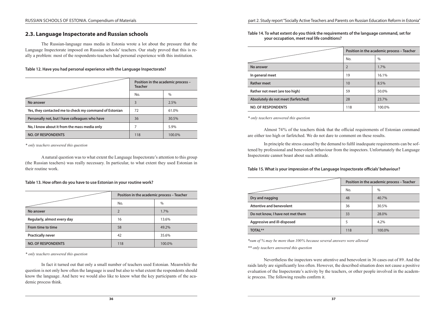# **2.3. Language Inspectorate and Russian schools**

The Russian-language mass media in Estonia wrote a lot about the pressure that the Language Inspectorate imposed on Russian schools' teachers. Our study proved that this is really a problem: most of the respondents-teachers had personal experience with this institution.

**Table 12. Have you had personal experience with the Language Inspectorate?**

|                                                        | Position in the academic process -<br><b>Teacher</b> |        |  |  |  |  |
|--------------------------------------------------------|------------------------------------------------------|--------|--|--|--|--|
|                                                        | No.                                                  | $\%$   |  |  |  |  |
| No answer                                              | 3                                                    | 2.5%   |  |  |  |  |
| Yes, they contacted me to check my command of Estonian | 72                                                   | 61.0%  |  |  |  |  |
| Personally not, but I have colleagues who have         | 36                                                   | 30.5%  |  |  |  |  |
| No, I know about it from the mass media only           |                                                      | 5.9%   |  |  |  |  |
| <b>NO. OF RESPONDENTS</b>                              | 118                                                  | 100.0% |  |  |  |  |

*\* only teachers answered this question*

A natural question was to what extent the Language Inspectorate's attention to this group (the Russian teachers) was really necessary. In particular, to what extent they used Estonian in their routine work.

#### **Table 13. How often do you have to use Estonian in your routine work?**

|                             | Position in the academic process - Teacher |               |
|-----------------------------|--------------------------------------------|---------------|
|                             | No.                                        | $\frac{0}{0}$ |
| No answer                   | $\overline{2}$                             | 1.7%          |
| Regularly, almost every day | 16                                         | 13.6%         |
| From time to time           | 58                                         | 49.2%         |
| <b>Practically never</b>    | 42                                         | 35.6%         |
| <b>NO. OF RESPONDENTS</b>   | 118                                        | 100.0%        |

*\* only teachers answered this question*

In fact it turned out that only a small number of teachers used Estonian. Meanwhile the question is not only how often the language is used but also to what extent the respondents should know the language. And here we would also like to know what the key participants of the academic process think.

**Table 14. To what extent do you think the requirements of the language command, set for your occupation, meet real life conditions?**

|                                     | Position in the academic process - Teacher |        |  |  |  |  |
|-------------------------------------|--------------------------------------------|--------|--|--|--|--|
|                                     | No.                                        | $\%$   |  |  |  |  |
| No answer                           | $\overline{2}$                             | 1.7%   |  |  |  |  |
| In general meet                     | 19                                         | 16.1%  |  |  |  |  |
| <b>Rather meet</b>                  | 10                                         | 8.5%   |  |  |  |  |
| Rather not meet (are too high)      | 59                                         | 50.0%  |  |  |  |  |
| Absolutely do not meet (farfetched) | 28                                         | 23.7%  |  |  |  |  |
| <b>NO. OF RESPONDENTS</b>           | 118                                        | 100.0% |  |  |  |  |

*\* only teachers answered this question*

Almost 74 % of the teachers think that the official requirements of Estonian command are either too high or farfetched. We do not dare to comment on these results.

In principle the stress caused by the demand to fulfil inadequate requirements can be softened by professional and benevolent behaviour from the inspectors. Unfortunately the Language Inspectorate cannot boast about such attitude.

#### **Table 15. What is your impression of the Language Inspectorate officials' behaviour?**

|                                  | Position in the academic process - Teacher |               |  |  |
|----------------------------------|--------------------------------------------|---------------|--|--|
|                                  | No.                                        | $\frac{0}{0}$ |  |  |
| Dry and nagging                  | 48                                         | 40.7%         |  |  |
| Attentive and benevolent         | 36                                         | 30.5%         |  |  |
| Do not know, I have not met them | 33                                         | 28.0%         |  |  |
| Aggressive and ill-disposed      | 5                                          | 4.2%          |  |  |
| <b>TOTAL**</b>                   | 118                                        | 100.0%        |  |  |

*\*sum of % may be more than 100 % because several answers were allowed*

*\*\* only teachers answered this question*

Nevertheless the inspectors were attentive and benevolent in 36 cases out of 89. And the raids lately are significantly less often. However, the described situation does not cause a positive evaluation of the Inspectorate's activity by the teachers, or other people involved in the academic process. The following results confirm it.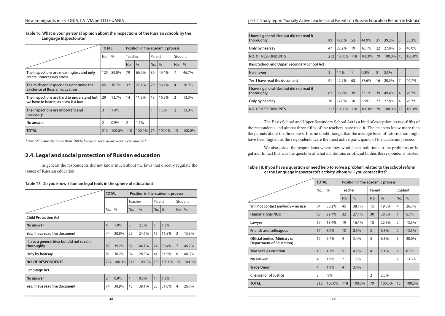|                                                                                     | <b>TOTAL</b>   |               | Position in the academic process |               |     |         |                |        |  |
|-------------------------------------------------------------------------------------|----------------|---------------|----------------------------------|---------------|-----|---------|----------------|--------|--|
|                                                                                     | No.            | $\frac{0}{0}$ |                                  | Teacher       |     | Parent  | Student        |        |  |
|                                                                                     |                |               | No.                              | $\frac{0}{0}$ | No. | $\%$    | No.            | $\%$   |  |
| The inspections are meaningless and only<br>create unnecessary stress               | 125            | 59.0%         | 79                               | 66.9%         | 39  | 49.4%   | $\overline{7}$ | 46.7%  |  |
| The raids and inspections undermine the<br>existence of Russian education           | 65             | 30.7%         | 32                               | 27.1%         | 29  | 36.7%   | $\overline{4}$ | 26.7%  |  |
| The inspections are hard to understand but<br>we have to bear it, as a law is a law | 29             | 13.7%         | 14                               | 11.9%         | 13  | 16.5%   | 2              | 13.3%  |  |
| The inspections are important and<br>necessary                                      | 3              | 1.4%          |                                  |               | 1   | $1.3\%$ | $\overline{2}$ | 13.3%  |  |
| No answer                                                                           | $\overline{2}$ | $0.9\%$       | $\overline{2}$                   | 1.7%          |     |         |                |        |  |
| <b>TOTAL</b>                                                                        | 212            | 100.0%        | 118                              | 100.0%        | 79  | 100.0%  | 15             | 100.0% |  |

#### **Table 16. What is your personal opinion about the inspections of the Russian schools by the Language Inspectorate?**

*\*sum of % may be more than 100 % because several answers were allowed*

# **2.4. Legal and social protection of Russian education**

In general the respondents did not know much about the laws that directly regulate the issues of Russian education.

#### **Table 17. Do you know Estonian legal tools in the sphere of education?**

|                                                         | <b>TOTAL</b>   |               | Position in the academic process |               |              |        |                |         |  |
|---------------------------------------------------------|----------------|---------------|----------------------------------|---------------|--------------|--------|----------------|---------|--|
|                                                         |                |               |                                  | Teacher       |              | Parent |                | Student |  |
|                                                         | No.            | $\frac{0}{0}$ | No.                              | $\frac{0}{0}$ | No.          | $\%$   | No.            | $\%$    |  |
| <b>Child Protection Act</b>                             |                |               |                                  |               |              |        |                |         |  |
| No answer                                               | $\overline{4}$ | 1.9%          | 3                                | 2.5%          | $\mathbf{1}$ | 1.3%   |                |         |  |
| Yes, I have read the document                           | 44             | 20.8%         | 29                               | 24.6%         | 13           | 16.5%  | $\overline{2}$ | 13.3%   |  |
| I have a general idea but did not read it<br>thoroughly | 83             | 39.2%         | 52                               | 44.1%         | 24           | 30.4%  | $\overline{7}$ | 46.7%   |  |
| Only by hearsay                                         | 81             | 38.2%         | 34                               | 28.8%         | 41           | 51.9%  | 6              | 40.0%   |  |
| <b>NO. OF RESPONDENTS</b>                               | 212            | 100.0%        | 118                              | 100.0%        | 79           | 100.0% | 15             | 100.0%  |  |
| Language Act                                            |                |               |                                  |               |              |        |                |         |  |
| No answer                                               | $\overline{2}$ | 0.9%          | $\mathbf{1}$                     | 0.8%          | $\mathbf{1}$ | 1.3%   |                |         |  |
| Yes, I have read the document                           | 74             | 34.9%         | 45                               | 38.1%         | 25           | 31.6%  | 4              | 26.7%   |  |
|                                                         |                |               |                                  |               |              |        |                |         |  |

#### part 2. Study report "Socially Active Teachers and Parents on Russian Education Reform in Estonia"

| I have a general idea but did not read it<br>thoroughly | 89  | 42.0%  | 53           | 44.9%   | 31             | 39.2%     | 5              | 33.3%  |  |
|---------------------------------------------------------|-----|--------|--------------|---------|----------------|-----------|----------------|--------|--|
| Only by hearsay                                         | 47  | 22.2%  | 19           | 16.1%   | 22             | 27.8%     | 6              | 40.0%  |  |
| <b>NO. OF RESPONDENTS</b>                               | 212 | 100.0% | 118          | 100.0%  | 79             | $100.0\%$ | 15             | 100.0% |  |
| <b>Basic School and Upper Secondary School Act</b>      |     |        |              |         |                |           |                |        |  |
| No answer                                               | 3   | 1.4%   | $\mathbf{1}$ | $0.8\%$ | $\overline{2}$ | 2.5%      |                |        |  |
| Yes, I have read the document                           | 91  | 42.9%  | 68           | 57.6%   | 16             | 20.3%     | $\overline{7}$ | 46.7%  |  |
| I have a general idea but did not read it<br>thoroughly | 82  | 38.7%  | 39           | 33.1%   | 39             | 49.4%     | $\overline{4}$ | 26.7%  |  |
| Only by hearsay                                         | 36  | 17.0%  | 10           | 8.5%    | 22             | 27.8%     | $\overline{4}$ | 26.7%  |  |

The Basis School and Upper Secondary School Act is a kind of exception, as two-fifths of the respondents and almost three-fifths of the teachers have read it. The teachers knew more than the parents about the three laws. It is no doubt though that the average level of information might have been higher, as the respondents were the most active participants of the academic process.

**NO. OF RESPONDENTS** 212 100.0% 118 100.0% 79 100.0% 15 100.0%

We also asked the respondents where they would seek solutions to the problems or legal aid. In fact this was the question of what institutions or official bodies the respondents trusted.

#### **Table 18. If you have a question or need help to solve a problem related to the school reform or the Language Inspectorate's activity whom will you contact first?**

|                                                                        |                   | <b>TOTAL</b>  |                 | Position in the academic process |                |               |                |        |  |  |
|------------------------------------------------------------------------|-------------------|---------------|-----------------|----------------------------------|----------------|---------------|----------------|--------|--|--|
|                                                                        | No.               | $\frac{0}{0}$ | <b>Teacher</b>  |                                  | Parent         |               | Student        |        |  |  |
|                                                                        |                   |               | No.             | $\frac{0}{0}$                    | No.            | $\frac{0}{0}$ | No.            | $\%$   |  |  |
| Will not contact anybody - no use                                      | 64                | 30.2%         | 45              | 38.1%                            | 15             | 19.0%         | $\overline{4}$ | 26.7%  |  |  |
| Human rights NGO                                                       | 63                | 29.7%         | 32              | 27.1%                            | 30             | 38.0%         | $\mathbf{1}$   | 6.7%   |  |  |
| Lawyer                                                                 | 39                | 18.4%         | 19              | 16.1%                            | 18             | 22.8%         | $\overline{2}$ | 13.3%  |  |  |
| <b>Friends and colleagues</b>                                          | 17                | 8.0%          | 10 <sup>1</sup> | 8.5%                             | 5              | 6.3%          | $\overline{2}$ | 13.3%  |  |  |
| <b>Official bodies (Ministry or</b><br><b>Department of Education)</b> | $12 \overline{ }$ | 5.7%          | 4               | 3.4%                             | 5              | 6.3%          | 3              | 20.0%  |  |  |
| <b>Teacher's Association</b>                                           | 10                | 4.7%          | 5               | 4.2%                             | $\overline{4}$ | 5.1%          | 1              | 6.7%   |  |  |
| No answer                                                              | 4                 | 1.9%          | $\overline{2}$  | 1.7%                             |                |               | $\overline{2}$ | 13.3%  |  |  |
| <b>Trade Union</b>                                                     | $\overline{4}$    | 1.9%          | $\overline{4}$  | 3.4%                             |                |               |                |        |  |  |
| <b>Chancellor of Justice</b>                                           | $\mathfrak{D}$    | .9%           |                 |                                  | $\overline{2}$ | 2.5%          |                |        |  |  |
| <b>TOTAL</b>                                                           | 212               | 100.0%        | 118             | 100.0%                           | 79             | 100.0%        | 15             | 100.0% |  |  |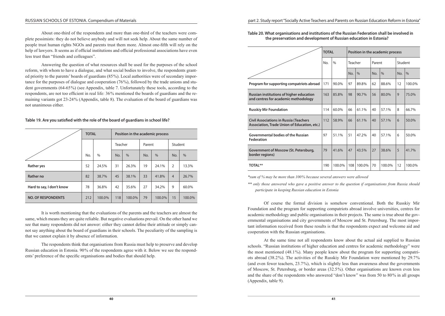About one-third of the respondents and more than one-third of the teachers were complete pessimists: they do not believe anybody and will not seek help. About the same number of people trust human rights NGOs and parents trust them more. Almost one-fifth will rely on the help of lawyers. It seems as if official institutions and official professional associations have even less trust than "friends and colleagues".

Answering the question of what resources shall be used for the purposes of the school reform, with whom to have a dialogue, and what social bodies to involve, the respondents grant‑ ed priority to the parents' boards of guardians  $(85\%)$ . Local authorities were of secondary importance for the purposes of dialogue and cooperation  $(76%)$ , followed by the trade unions and student governments (64-65%) (see Appendix, table 7. Unfortunately these tools, according to the respondents, are not too efficient in real life: 36% mentioned the boards of guardians and the remaining variants got 23‑24 % (Appendix, table 8). The evaluation of the board of guardians was not unanimous either.

#### **Table 19. Are you satisfied with the role of the board of guardians in school life?**

|                           | <b>TOTAL</b> |               | Position in the academic process |        |        |        |                |        |  |  |  |
|---------------------------|--------------|---------------|----------------------------------|--------|--------|--------|----------------|--------|--|--|--|
|                           |              |               | Teacher                          |        | Parent |        | Student        |        |  |  |  |
|                           | No.          | $\frac{0}{0}$ | $\frac{0}{0}$<br>No.             |        | No.    | $\%$   | No.            | $\%$   |  |  |  |
| Rather yes                | 52           | 24.5%         | 31                               | 26.3%  | 19     | 24.1%  | $\overline{2}$ | 13.3%  |  |  |  |
| Rather no                 | 82           | 38.7%         | 45<br>38.1%                      |        | 33     | 41.8%  | $\overline{4}$ | 26.7%  |  |  |  |
| Hard to say, I don't know | 78           | 36.8%         | 42                               | 35.6%  | 27     | 34.2%  | 9              | 60.0%  |  |  |  |
| <b>NO. OF RESPONDENTS</b> | 212          | 100.0%        | 118                              | 100.0% | 79     | 100.0% | 15             | 100.0% |  |  |  |

It is worth mentioning that the evaluations of the parents and the teachers are almost the same, which means they are quite reliable. But negative evaluations prevail. On the other hand we see that many respondents did not answer: either they cannot define their attitude or simply cannot say anything about the board of guardians in their schools. The peculiarity of the sampling is that we cannot explain it by absence of information.

The respondents think that organisations from Russia must help to preserve and develop Russian education in Estonia. 90% of the respondents agree with it. Below we see the respondents' preference of the specific organisations and bodies that should help.

**Table 20. What organisations and institutions of the Russian Federation shall be involved in the preservation and development of Russian education in Estonia?**

|                                                                                               | <b>TOTAL</b> |               | Position in the academic process |               |        |               |         |               |  |
|-----------------------------------------------------------------------------------------------|--------------|---------------|----------------------------------|---------------|--------|---------------|---------|---------------|--|
|                                                                                               | No.          | $\frac{0}{0}$ | Teacher                          |               | Parent |               | Student |               |  |
|                                                                                               |              |               | No.                              | $\frac{0}{0}$ | No.    | $\frac{0}{0}$ | No.     | $\frac{0}{0}$ |  |
| Program for supporting compatriots abroad                                                     | 171          | 90.0%         | 97                               | 89.8%         | 62     | 88.6%         | 12      | 100.0%        |  |
| Russian institutions of higher education<br>and centres for academic methodology              | 163          | 85.8%         | 98                               | 90.7%         | 56     | 80.0%         | 9       | 75.0%         |  |
| <b>Russkiy Mir Foundation</b>                                                                 | 114          | 60.0%         | 66                               | 61.1%         | 40     | 57.1%         | 8       | 66.7%         |  |
| <b>Civil Associations in Russia (Teachers</b><br>Association, Trade Union of Education, etc.) | 112          | 58.9%         | 66                               | 61.1%         | 40     | 57.1%         | 6       | 50.0%         |  |
| Governmental bodies of the Russian<br><b>Federation</b>                                       | 97           | 51.1%         | 51                               | 47.2%         | 40     | 57.1%         | 6       | 50.0%         |  |
| Government of Moscow (St. Petersburg,<br>border regions)                                      | 79           | 41.6%         | 47                               | 43.5%         | 27     | 38.6%         | 5       | 41.7%         |  |
| <b>TOTAL**</b>                                                                                | 190          | 100.0%        | 108                              | 100.0%        | 70     | 100.0%        | 12      | 100.0%        |  |

*\*sum of % may be more than 100 % because several answers were allowed*

*\*\* only those answered who gave a positive answer to the question if organisations from Russia should participate in keeping Russian education in Estonia*

Of course the formal division is somehow conventional. Both the Russkiy Mir Foundation and the program for supporting compatriots abroad involve universities, centres for academic methodology and public organisations in their projects. The same is true about the governmental organisations and city governments of Moscow and St. Petersburg. The most important information received from these results is that the respondents expect and welcome aid and cooperation with the Russian organisations.

At the same time not all respondents know about the actual aid supplied to Russian schools. "Russian institutions of higher education and centres for academic methodology" were the most mentioned  $(48.1\%)$ . Many people knew about the program for supporting compatriots abroad (38.2 %). The activities of the Russkiy Mir Foundation were mentioned by 29.7 % (and even fewer teachers, 23.7 %), which is slightly less than awareness about the governments of Moscow, St. Petersburg, or border areas (32.5 %). Other organisations are known even less and the share of the respondents who answered "don't know" was from 50 to 80 % in all groups (Appendix, table 9).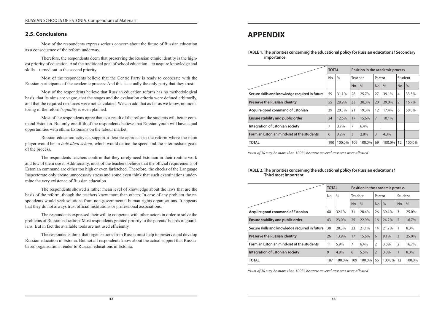## **2.5. Conclusions**

Most of the respondents express serious concern about the future of Russian education as a consequence of the reform underway.

Therefore, the respondents deem that preserving the Russian ethnic identity is the highest priority of education. And the traditional goal of school education – to acquire knowledge and skills – turned out to the second priority.

Most of the respondents believe that the Centre Party is ready to cooperate with the Russian participants of the academic process. And this is actually the only party that they trust.

Most of the respondents believe that Russian education reform has no methodological basis, that its aims are vague, that the stages and the evaluation criteria were defined arbitrarily, and that the required resources were not calculated. We can add that as far as we know, no monitoring of the reform's *quality* is even planned.

Most of the respondents agree that as a result of the reform the students will better command Estonian. But only one-fifth of the respondents believe that Russian youth will have equal opportunities with ethnic Estonians on the labour market.

Russian education activists support a flexible approach to the reform where the main player would be an *individual school*, which would define the speed and the intermediate goals of the process.

The respondents-teachers confirm that they rarely need Estonian in their routine work and few of them use it. Additionally, most of the teachers believe that the official requirements of Estonian command are either too high or even farfetched. Therefore, the checks of the Language Inspectorate only create unnecessary stress and some even think that such examinations undermine the very existence of Russian education.

The respondents showed a rather mean level of knowledge about the laws that are the basis of the reform, though the teachers knew more than others. In case of any problem the respondents would seek solutions from non-governmental human rights organisations. It appears that they do not always trust official institutions or professional associations.

The respondents expressed their will to cooperate with other actors in order to solve the problems of Russian education. Most respondents granted priority to the parents' boards of guardians. But in fact the available tools are not used efficiently.

The respondents think that organisations from Russia must help to preserve and develop Russian education in Estonia. But not all respondents know about the actual support that Russiabased organisations render to Russian educations in Estonia.

# **APPENDIX**

**TABLE 1. The priorities concerning the educational policy for Russian educations? Secondary importance**

|                                                | <b>TOTAL</b> |               | Position in the academic process |        |                |        |         |               |  |  |
|------------------------------------------------|--------------|---------------|----------------------------------|--------|----------------|--------|---------|---------------|--|--|
|                                                | No.          | $\frac{0}{0}$ | Teacher                          |        | Parent         |        | Student |               |  |  |
|                                                |              |               | No.                              | $\%$   | No.            | $\%$   | No.     | $\frac{0}{0}$ |  |  |
| Secure skills and knowledge required in future | 59           | 31.1%         | 28                               | 25.7%  | 27             | 39.1%  | 4       | 33.3%         |  |  |
| <b>Preserve the Russian identity</b>           | 55           | 28.9%         | 33                               | 30.3%  | 20             | 29.0%  | 2       | 16.7%         |  |  |
| Acquire good command of Estonian               | 39           | 20.5%         | 21                               | 19.3%  | 12             | 17.4%  | 6       | 50.0%         |  |  |
| Ensure stability and public order              | 24           | 12.6%         | 17                               | 15.6%  | $\overline{7}$ | 10.1%  |         |               |  |  |
| <b>Integration of Estonian society</b>         | 7            | 3.7%          | 7                                | 6.4%   |                |        |         |               |  |  |
| Form an Estonian mind-set of the students      | 6            | $3.2\%$       | $\overline{3}$                   | 2.8%   | 3              | 4.3%   |         |               |  |  |
| <b>TOTAL</b>                                   | 190          | 100.0%        | 109                              | 100.0% | 69             | 100.0% | 12      | 100.0%        |  |  |

*\*sum of % may be more than 100 % because several answers were allowed*

#### **TABLE 2. The priorities concerning the educational policy for Russian educations? Third most important**

|                                                | <b>TOTAL</b> |        | Position in the academic process |               |                |         |                |        |  |  |
|------------------------------------------------|--------------|--------|----------------------------------|---------------|----------------|---------|----------------|--------|--|--|
|                                                | No.          | $\%$   | Teacher                          |               | Parent         |         | Student        |        |  |  |
|                                                |              |        | No.                              | $\frac{0}{0}$ | No.            | $\%$    | No.            | $\%$   |  |  |
| Acquire good command of Estonian               | 60           | 32.1%  | 31                               | 28.4%         | 26             | 39.4%   | 3              | 25.0%  |  |  |
| Ensure stability and public order              | 43           | 23.0%  | 25                               | 22.9%         | 16             | 24.2%   | $\overline{2}$ | 16.7%  |  |  |
| Secure skills and knowledge required in future | 38           | 20.3%  | 23                               | 21.1%         | 14             | 21.2%   | 1              | 8.3%   |  |  |
| <b>Preserve the Russian identity</b>           | 26           | 13.9%  | 17                               | 15.6%         | 6              | 9.1%    | $\overline{3}$ | 25.0%  |  |  |
| Form an Estonian mind-set of the students      | 11           | 5.9%   | $\overline{7}$                   | 6.4%          | $\overline{2}$ | 3.0%    | 2              | 16.7%  |  |  |
| <b>Integration of Estonian society</b>         | 9            | 4.8%   | 6                                | 5.5%          | $\overline{2}$ | $3.0\%$ | $\mathbf{1}$   | 8.3%   |  |  |
| <b>TOTAL</b>                                   | 187          | 100.0% | 109                              | 100.0%        | 66             | 100.0%  | 12             | 100.0% |  |  |

*\*sum of % may be more than 100 % because several answers were allowed*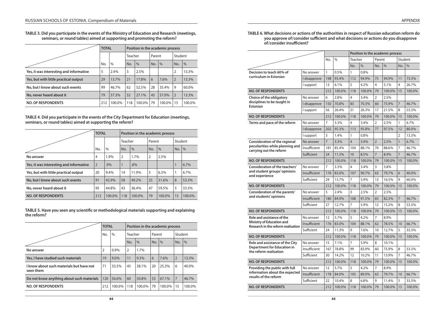#### **TABLE 3. Did you participate in the events of the Ministry of Education and Research (meetings, seminars, or round tables) aimed at supporting and promoting the reform?**

|                                         | <b>TOTAL</b> |               | Position in the academic process |               |        |               |                |               |  |  |
|-----------------------------------------|--------------|---------------|----------------------------------|---------------|--------|---------------|----------------|---------------|--|--|
|                                         |              |               | Teacher                          |               | Parent |               | Student        |               |  |  |
|                                         | No.          | $\frac{0}{0}$ | No.                              | $\frac{0}{0}$ | No.    | $\frac{0}{0}$ | No.            | $\frac{0}{0}$ |  |  |
| Yes, it was interesting and informative | 5            | 2.4%          | 3                                | 2.5%          |        |               | $\overline{2}$ | 13.3%         |  |  |
| Yes, but with little practical output   | 29           | 13.7%         | 21                               | 17.8%         | 6      | 7.6%          | $\overline{2}$ | 13.3%         |  |  |
| No, but I know about such events        | 99           | 46.7%         | 62                               | 52.5%         | 28     | 35.4%         | 9              | 60.0%         |  |  |
| No, never heard about it                | 79           | 37.3%         | 32                               | 27.1%         | 45     | 57.0%         | $\overline{2}$ | 13.3%         |  |  |
| <b>NO. OF RESPONDENTS</b>               | 212          | 100.0%        | 118                              | 100.0%        | 79     | 100.0%        | 15             | 100.0%        |  |  |

**TABLE 4. Did you participate in the events of the City Department for Education (meetings, seminars, or round tables) aimed at supporting the reform?**

|                                         | <b>TOTAL</b>   |        | Position in the academic process |        |                |        |         |        |  |  |
|-----------------------------------------|----------------|--------|----------------------------------|--------|----------------|--------|---------|--------|--|--|
|                                         |                |        | Teacher                          |        | Parent         |        | Student |        |  |  |
|                                         | No.            | $\%$   | No.                              | $\%$   | No.            | $\%$   | No.     | $\%$   |  |  |
| No answer                               | 4              | 1.9%   | $\overline{2}$                   | 1.7%   | $\overline{2}$ | 2.5%   |         |        |  |  |
| Yes, it was interesting and informative | $\overline{2}$ | .9%    |                                  | .8%    |                |        | 1       | 6.7%   |  |  |
| Yes, but with little practical output   | 20             | 9.4%   | 14                               | 11.9%  | 5              | 6.3%   | 1       | 6.7%   |  |  |
| No, but I know about such events        | 91             | 42.9%  | 58                               | 49.2%  | 25             | 31.6%  | 8       | 53.3%  |  |  |
| No, never heard about it                | 95             | 44.8%  | 43                               | 36.4%  | 47             | 59.5%  | 5       | 33.3%  |  |  |
| <b>NO. OF RESPONDENTS</b>               | 212            | 100.0% | 118                              | 100.0% | 79             | 100.0% | 15      | 100.0% |  |  |

**TABLE 5. Have you seen any scientific or methodological materials supporting and explaining the reform?**

|                                                       | <b>TOTAL</b> |         | Position in the academic process |        |        |        |                |               |  |  |
|-------------------------------------------------------|--------------|---------|----------------------------------|--------|--------|--------|----------------|---------------|--|--|
|                                                       | No.          | $\%$    | Teacher                          |        | Parent |        | Student        |               |  |  |
|                                                       |              |         | No.                              | $\%$   | No.    | $\%$   | No.            | $\frac{0}{0}$ |  |  |
| No answer                                             | 2            | 0.9%    | $\overline{2}$                   | 1.7%   |        |        |                |               |  |  |
| Yes, I have studied such materials                    | 19           | $9.0\%$ | 11                               | 9.3%   | 6      | 7.6%   | $\overline{2}$ | 13.3%         |  |  |
| I know about such materials but have not<br>seen them | 71           | 33.5%   | 45                               | 38.1%  | 20     | 25.3%  | 6              | 40.0%         |  |  |
| Do not know anything about such materials             | 120          | 56.6%   | 60                               | 50.8%  | 53     | 67.1%  | $\overline{7}$ | 46.7%         |  |  |
| <b>NO. OF RESPONDENTS</b>                             | 212          | 100.0%  | 118                              | 100.0% | 79     | 100.0% | 15             | 100.0%        |  |  |

#### **TABLE 6. What decisions or actions of the authorities in respect of Russian education reform do you approve of/consider sufficient and what decisions or actions do you disapprove of/consider insufficient?**

|                                                                                  |              |                |               |                |        |                | Position in the academic process |                |        |
|----------------------------------------------------------------------------------|--------------|----------------|---------------|----------------|--------|----------------|----------------------------------|----------------|--------|
|                                                                                  |              | No.            | $\frac{0}{0}$ | Teacher        |        | Parent         |                                  | Student        |        |
|                                                                                  |              |                |               | No.            | $\%$   | No.            | $\%$                             | No.            | $\%$   |
| Decision to teach 60% of                                                         | No answer    | 1              | 0.5%          | $\mathbf{1}$   | 0.8%   |                |                                  |                |        |
| curriculum in Estonian                                                           | I disapprove | 198            | 93.4%         | 112            | 94.9%  | 75             | 94.9%                            | 11             | 73.3%  |
|                                                                                  | I support    | 13             | 6.1%          | 5              | 4.2%   | 4              | 5.1%                             | 4              | 26.7%  |
| <b>NO. OF RESPONDENTS</b>                                                        |              | 212            | 100.0%        | 118            | 100.0% | 79             | 100.0%                           | 15             | 100.0% |
| Choice of the obligatory                                                         | No answer    | 6              | 2.8%          | 4              | 3.4%   | $\overline{2}$ | 2.5%                             |                |        |
| disciplines to be taught in<br><b>Estonian</b>                                   | I disapprove | 150            | 70.8%         | 83             | 70.3%  | 60             | 75.9%                            | $\overline{7}$ | 46.7%  |
|                                                                                  | I support    | 56             | 26.4%         | 31             | 26.3%  | 17             | 21.5%                            | 8              | 53.3%  |
| <b>NO. OF RESPONDENTS</b>                                                        |              | 212            | 100.0%        | 118            | 100.0% | 79             | 100.0%                           | 15             | 100.0% |
| Terms and pace of the reform                                                     | No answer    | 7              | 3.3%          | 4              | 3.4%   | $\overline{2}$ | 2.5%                             | 1              | 6.7%   |
|                                                                                  | I disapprove | 202            | 95.3%         | 113            | 95.8%  | 77             | 97.5%                            | 12             | 80.0%  |
|                                                                                  | I support    | 3              | 1.4%          | 1              | 0.8%   |                |                                  | 2              | 13.3%  |
| <b>Consideration of the regional</b>                                             | No answer    | $\overline{7}$ | 3.3%          | $\overline{4}$ | 3.4%   | $\overline{2}$ | 2.5%                             | $\mathbf{1}$   | 6.7%   |
| peculiarities while planning and<br>carrying out the reform                      | Insufficient | 181            | 85.4%         | 104            | 88.1%  | 70             | 88.6%                            | 7              | 46.7%  |
|                                                                                  | Sufficient   | 24             | 11.3%         | 10             | 8.5%   | $\overline{7}$ | 8.9%                             | $\overline{7}$ | 46.7%  |
| <b>NO. OF RESPONDENTS</b>                                                        |              | 212            | 100.0%        | 118            | 100.0% | 79             | 100.0%                           | 15             | 100.0% |
| Consideration of the teachers'<br>and student groups' opinions<br>and experience | No answer    | 7              | 3.3%          | 4              | 3.4%   | 3              | 3.8%                             |                |        |
|                                                                                  | Insufficient | 176            | 83.0%         | 107            | 90.7%  | 63             | 79.7%                            | 6              | 40.0%  |
|                                                                                  | Sufficient   | 29             | 13.7%         | 7              | 5.9%   | 13             | 16.5%                            | 9              | 60.0%  |
| <b>NO. OF RESPONDENTS</b>                                                        |              | 212            | 100.0%        | 118            | 100.0% | 79             | 100.0%                           | 15             | 100.0% |
| Consideration of the parents'                                                    | No answer    | 5              | 2.4%          | 3              | 2.5%   | $\overline{2}$ | 2.5%                             |                |        |
| and students' opinions                                                           | Insufficient | 180            | 84.9%         | 108            | 91.5%  | 65             | 82.3%                            | $\overline{7}$ | 46.7%  |
|                                                                                  | Sufficient   | 27             | 12.7%         | 7              | 5.9%   | 12             | 15.2%                            | 8              | 53.3%  |
| <b>NO. OF RESPONDENTS</b>                                                        |              | 212            | 100.0%        | 118            | 100.0% | 79             | 100.0%                           | 15             | 100.0% |
| Role and assistance of the                                                       | No answer    | 12             | 5.7%          | 5              | 4.2%   | 7              | 8.9%                             |                |        |
| Ministry of Education and<br>Research in the reform realisation                  | Insufficient | 176            | 83.0%         | 104            | 88.1%  | 62             | 78.5%                            | 10             | 66.7%  |
|                                                                                  | Sufficient   | 24             | 11.3%         | 9              | 7.6%   | 10             | 12.7%                            | 5              | 33.3%  |
| <b>NO. OF RESPONDENTS</b>                                                        |              | 212            | 100.0%        | 118            | 100.0% | 79             | 100.0%                           | 15             | 100.0% |
| Role and assistance of the City                                                  | No answer    | 15             | 7.1%          | 7              | 5.9%   | 8              | 10.1%                            |                |        |
| <b>Department for Education in</b><br>the reform realisation                     | Insufficient | 167            | 78.8%         | 99             | 83.9%  | 60             | 75.9%                            | 8              | 53.3%  |
|                                                                                  | Sufficient   | 30             | 14.2%         | 12             | 10.2%  | 11             | 13.9%                            | 7              | 46.7%  |
| <b>NO. OF RESPONDENTS</b>                                                        |              | 212            | 100.0%        | 118            | 100.0% | 79             | 100.0%                           | 15             | 100.0% |
| Providing the public with full                                                   | No answer    | 12             | 5.7%          | 5              | 4.2%   | 7              | 8.9%                             |                |        |
| information about the expected<br>results of the reform                          | Insufficient | 178            | 84.0%         | 105            | 89.0%  | 63             | 79.7%                            | 10             | 66.7%  |
|                                                                                  | Sufficient   | 22             | 10.4%         | 8              | 6.8%   | 9              | 11.4%                            | 5              | 33.3%  |
| <b>NO. OF RESPONDENTS</b>                                                        |              | 212            | 100.0%        | 118            | 100.0% | 79             | 100.0%                           | 15             | 100.0% |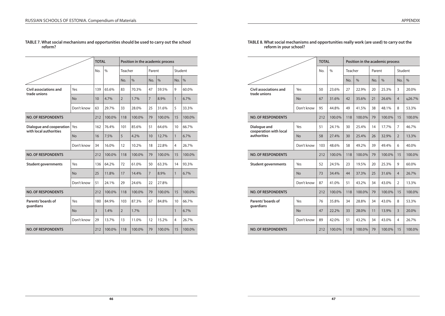|                                                    |            | <b>TOTAL</b>   |               |                | Position in the academic process |                |               |                |               |
|----------------------------------------------------|------------|----------------|---------------|----------------|----------------------------------|----------------|---------------|----------------|---------------|
|                                                    |            | No.            | $\frac{0}{0}$ | Teacher        |                                  | Parent         |               | Student        |               |
|                                                    |            |                |               | No.            | $\frac{0}{0}$                    | No.            | $\frac{0}{0}$ | No.            | $\frac{0}{0}$ |
| Civil associations and<br>trade unions             | Yes        | 139            | 65.6%         | 83             | 70.3%                            | 47             | 59.5%         | 9              | 60.0%         |
|                                                    | <b>No</b>  | 10             | 4.7%          | $\overline{2}$ | 1.7%                             | $\overline{7}$ | 8.9%          | $\mathbf{1}$   | 6.7%          |
|                                                    | Don't know | 63             | 29.7%         | 33             | 28.0%                            | 25             | 31.6%         | 5              | 33.3%         |
| <b>NO. OF RESPONDENTS</b>                          |            | 212            | 100.0%        | 118            | 100.0%                           | 79             | 100.0%        | 15             | 100.0%        |
| Dialogue and cooperation<br>with local authorities | Yes        | 162            | 76.4%         | 101            | 85.6%                            | 51             | 64.6%         | 10             | 66.7%         |
|                                                    | <b>No</b>  | 16             | 7.5%          | 5              | 4.2%                             | 10             | 12.7%         | $\mathbf{1}$   | 6.7%          |
|                                                    | Don't know | 34             | 16.0%         | 12             | 10.2%                            | 18             | 22.8%         | $\overline{4}$ | 26.7%         |
| <b>NO. OF RESPONDENTS</b>                          |            | 212            | 100.0%        | 118            | 100.0%                           | 79             | 100.0%        | 15             | 100.0%        |
| <b>Student governments</b>                         | Yes        | 136            | 64.2%         | 72             | 61.0%                            | 50             | 63.3%         | 14             | 93.3%         |
|                                                    | <b>No</b>  | 25             | 11.8%         | 17             | 14.4%                            | $\overline{7}$ | 8.9%          | $\mathbf{1}$   | 6.7%          |
|                                                    | Don't know | 51             | 24.1%         | 29             | 24.6%                            | 22             | 27.8%         |                |               |
| <b>NO. OF RESPONDENTS</b>                          |            | 212            | 100.0%        | 118            | 100.0%                           | 79             | 100.0%        | 15             | 100.0%        |
| Parents' boards of                                 | Yes        | 180            | 84.9%         | 103            | 87.3%                            | 67             | 84.8%         | 10             | 66.7%         |
| guardians                                          | <b>No</b>  | $\overline{3}$ | 1.4%          | $\overline{2}$ | 1.7%                             |                |               | $\mathbf{1}$   | 6.7%          |
|                                                    | Don't know | 29             | 13.7%         | 13             | 11.0%                            | 12             | 15.2%         | 4              | 26.7%         |
| <b>NO. OF RESPONDENTS</b>                          |            | 212            | 100.0%        | 118            | 100.0%                           | 79             | 100.0%        | 15             | 100.0%        |

#### **TABLE 7. What social mechanisms and opportunities should be used to carry out the school reform?**

|                                                       |            | <b>TOTAL</b> |               | Position in the academic process |               |        |               |                |               |  |  |
|-------------------------------------------------------|------------|--------------|---------------|----------------------------------|---------------|--------|---------------|----------------|---------------|--|--|
|                                                       |            | No.          | $\frac{0}{0}$ | Teacher                          |               | Parent |               | Student        |               |  |  |
|                                                       |            |              |               | No.                              | $\frac{0}{0}$ | No.    | $\frac{0}{0}$ | No.            | $\frac{0}{0}$ |  |  |
| <b>Civil associations and</b><br>trade unions         | Yes        | 50           | 23.6%         | 27                               | 22.9%         | 20     | 25.3%         | 3              | 20.0%         |  |  |
|                                                       | <b>No</b>  | 67           | 31.6%         | 42                               | 35.6%         | 21     | 26.6%         | $\overline{4}$ | ц26.7%        |  |  |
|                                                       | Don't know | 95           | 44.8%         | 49                               | 41.5%         | 38     | 48.1%         | 8              | 53.3%         |  |  |
| <b>NO. OF RESPONDENTS</b>                             |            | 212          | 100.0%        | 118                              | 100.0%        | 79     | 100.0%        | 15             | 100.0%        |  |  |
| Dialogue and<br>cooperation with local<br>authorities | Yes        | 51           | 24.1%         | 30                               | 25.4%         | 14     | 17.7%         | $\overline{7}$ | 46.7%         |  |  |
|                                                       | <b>No</b>  | 58           | 27.4%         | 30                               | 25.4%         | 26     | 32.9%         | $\overline{2}$ | 13.3%         |  |  |
|                                                       | Don't know | 103          | 48.6%         | 58                               | 49.2%         | 39     | 49.4%         | 6              | 40.0%         |  |  |
| <b>NO. OF RESPONDENTS</b>                             |            | 212          | 100.0%        | 118                              | 100.0%        | 79     | 100.0%        | 15             | 100.0%        |  |  |
| <b>Student governments</b>                            | Yes        | 52           | 24.5%         | 23                               | 19.5%         | 20     | 25.3%         | 9              | 60.0%         |  |  |
|                                                       | <b>No</b>  | 73           | 34.4%         | 44                               | 37.3%         | 25     | 31.6%         | $\overline{4}$ | 26.7%         |  |  |
|                                                       | Don't know | 87           | 41.0%         | 51                               | 43.2%         | 34     | 43.0%         | $\overline{2}$ | 13.3%         |  |  |
| <b>NO. OF RESPONDENTS</b>                             |            | 212          | 100.0%        | 118                              | 100.0%        | 79     | 100.0%        | 15             | 100.0%        |  |  |
| Parents' boards of<br>guardians                       | Yes        | 76           | 35.8%         | 34                               | 28.8%         | 34     | 43.0%         | 8              | 53.3%         |  |  |
|                                                       | <b>No</b>  | 47           | 22.2%         | 33                               | 28.0%         | 11     | 13.9%         | $\overline{3}$ | 20.0%         |  |  |
|                                                       | Don't know | 89           | 42.0%         | 51                               | 43.2%         | 34     | 43.0%         | $\overline{4}$ | 26.7%         |  |  |
| <b>NO. OF RESPONDENTS</b>                             |            | 212          | 100.0%        | 118                              | 100.0%        | 79     | 100.0%        | 15             | 100.0%        |  |  |

#### **TABLE 8. What social mechanisms and opportunities really work (are used) to carry out the reform in your school?**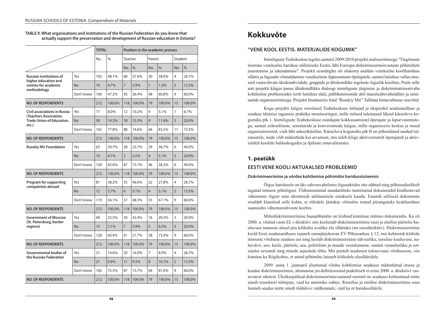**TABLE 9. What organisations and institutions of the Russian Federation do you know that actually support the preservation and development of Russian education in Estonia?**

|                                                                                                   |                | <b>TOTAL</b> |        | Position in the academic process |        |              |        |                |        |  |  |  |
|---------------------------------------------------------------------------------------------------|----------------|--------------|--------|----------------------------------|--------|--------------|--------|----------------|--------|--|--|--|
|                                                                                                   |                | No.          | $\%$   | Teacher                          |        | Parent       |        | Student        |        |  |  |  |
|                                                                                                   |                |              |        | No.                              | $\%$   | No.          | $\%$   | No.            | $\%$   |  |  |  |
| <b>Russian institutions of</b>                                                                    | Yes            | 102          | 48.1%  | 68                               | 57.6%  | 30           | 38.0%  | 4              | 26.7%  |  |  |  |
| higher education and<br>centres for academic                                                      | No             | 10           | 4.7%   | $\overline{7}$                   | 5.9%   | $\mathbf{1}$ | 1.3%   | $\overline{2}$ | 13.3%  |  |  |  |
| methodology                                                                                       | Don't know     | 100          | 47.2%  | 43                               | 36.4%  | 48           | 60.8%  | 9              | 60.0%  |  |  |  |
| <b>NO. OF RESPONDENTS</b>                                                                         |                | 212          | 100.0% | 118                              | 100.0% | 79           | 100.0% | 15             | 100.0% |  |  |  |
| <b>Civil associations in Russia</b><br>(Teachers Association.<br><b>Trade Union of Education.</b> | Yes            | 17           | 8.0%   | 12                               | 10.2%  | 4            | 5.1%   | 1              | 6.7%   |  |  |  |
|                                                                                                   | <b>No</b>      | 30           | 14.2%  | 18                               | 15.3%  | 9            | 11.4%  | $\overline{3}$ | 20.0%  |  |  |  |
| etc.)                                                                                             | Don't know     | 165          | 77.8%  | 88                               | 74.6%  | 66           | 83.5%  | 11             | 73.3%  |  |  |  |
| <b>NO. OF RESPONDENTS</b>                                                                         |                | 212          | 100.0% | 118                              | 100.0% | 79           | 100.0% | 15             | 100.0% |  |  |  |
| <b>Russkiy Mir Foundation</b>                                                                     | Yes            | 63           | 29.7%  | 28                               | 23.7%  | 29           | 36.7%  | 6              | 40.0%  |  |  |  |
|                                                                                                   | <b>No</b>      | 10           | 4.7%   | 3                                | 2.5%   | 4            | 5.1%   | 3              | 20.0%  |  |  |  |
|                                                                                                   | Don't know     | 139          | 65.6%  | 87                               | 73.7%  | 46           | 58.2%  | 6              | 40.0%  |  |  |  |
| <b>NO. OF RESPONDENTS</b>                                                                         |                | 212          | 100.0% | 118                              | 100.0% | 79           | 100.0% | 15             | 100.0% |  |  |  |
| Program for supporting<br>compatriots abroad                                                      | Yes            | 81           | 38.2%  | 55                               | 46.6%  | 22           | 27.8%  | 4              | 26.7%  |  |  |  |
|                                                                                                   | No             | 12           | 5.7%   | 6                                | 5.1%   | 4            | 5.1%   | $\overline{2}$ | 13.3%  |  |  |  |
|                                                                                                   | Don't know     | 119          | 56.1%  | 57                               | 48.3%  | 53           | 67.1%  | 9              | 60.0%  |  |  |  |
| <b>NO. OF RESPONDENTS</b>                                                                         |                | 212          | 100.0% | 118                              | 100.0% | 79           | 100.0% | 15             | 100.0% |  |  |  |
| <b>Government of Moscow</b><br>(St. Petersburg, border                                            | Yes            | 69           | 32.5%  | 50                               | 42.4%  | 16           | 20.3%  | 3              | 20.0%  |  |  |  |
| regions)                                                                                          | No             | 15           | 7.1%   | $\overline{7}$                   | 5.9%   | 5            | 6.3%   | $\overline{3}$ | 20.0%  |  |  |  |
|                                                                                                   | Don't know     | 128          | 60.4%  | 61                               | 51.7%  | 58           | 73.4%  | 9              | 60.0%  |  |  |  |
| <b>NO. OF RESPONDENTS</b>                                                                         |                | 212          | 100.0% | 118                              | 100.0% | 79           | 100.0% | 15             | 100.0% |  |  |  |
| Governmental bodies of<br>the Russian Federation                                                  | Yes            | 31           | 14.6%  | 20                               | 16.9%  | 7            | 8.9%   | 4              | 26.7%  |  |  |  |
|                                                                                                   | N <sub>o</sub> | 21           | 9.9%   | 11                               | 9.3%   | 8            | 10.1%  | $\overline{2}$ | 13.3%  |  |  |  |
|                                                                                                   | Don't know     | 160          | 75.5%  | 87                               | 73.7%  | 64           | 81.0%  | 9              | 60.0%  |  |  |  |
| <b>NO. OF RESPONDENTS</b>                                                                         |                | 212          | 100.0% | 118                              | 100.0% | 79           | 100.0% | 15             | 100.0% |  |  |  |

# **Kokkuvõte**

## **"VENE KOOL EESTIS. MATERJALIDE KOGUMIK"**

Inimõiguste Teabekeskus tegeles aastatel 2009‑2010 projekti realiseerimisega "Tingimuste loomine venekeelse hariduse säilimiseks Eestis, läbi Euroopa diskrimineerimisvastaste põhimõtete juurutamise ja rakendamise". Projekti eesmärgiks oli olukorra analüüs venekeelse koolihariduse sfääris ja õigusabi võimaldamine venekeelsete õppeasutuste õpetajatele, samuti hariduse vallas otsuseid vastuvõtvate üksikindiviidide, gruppide ja ühiskondlike tegelaste õiguslik koolitus. Peale selle anti projekti käigus panus ühiskondlikku dialoogi inimõiguste järgimise ja diskriminatsioonivaba kohtlemise probleemides (eriti hariduse alal), publikatsioonide abil massiteabevahendites ja seminaride organiseerimisega. Projekti finantseeris fond "Russkiy Mir" Tallinna linnavalitsuse osavõtul.

Kogu projekti käigus sooritasid Teabekeskuse töötajad ja eksperdid seadusandluse ja seaduse täitmise tagamise praktika monitooringut, mille mõned tulemused läksid käesoleva ko‑ gumiku ptk 1. Inimõiguste Teabekeskuse esindajate kokkusaamistel õpetajate ja lapsevanemate‑ ga, samuti erikoolituste, seminaride ja konverentside käigus, mille organiseeris keskus ja muud organisatsioonid, viidi läbi ankeetküsitlus. Käesoleva kogumiku ptk II on pühendatud saadud tul‑ emustele, mida võib määratleda kui arvamust, mis tuleb kõige aktiivsematelt õpetajatelt ja aktiv‑ istidelt koolide halduskogudes ja õpilaste omavalitsustes.

# **1. peatükk**

## **EESTI VENE KOOLI AKTUAALSED PROBLEEMID**

#### **Diskrimineerimine ja võrdse kohtlemise põhimõte haridussüsteemis**

Õigus haridusele on üks rahvusvahelistes õigusaktides ette nähtud ning põhiseaduslikult tagatud inimese põhiõigusi. Üldtunnustatud standarditeks tunnistatud dokumendid kindlustavad vähemuste õigust oma identiteedi säilitamisele emakeele kaudu. Enamik selliseid dokumente sisaldab klausleid selle kohta, et riikidele jäetakse võimalus teatud piiranguteks keskhariduse saamiseks vähemusrahvuste keeltes.

Mittediskrimineerimise baaspõhimõte on leidnud kinnituse mitmes dokumendis. Ka oli 2000. a. võetud vastu EL-i direktiiv, mis keelustab diskrimineerimise rassi ja etnilise päritolu / ku‑ uluvuse tunnuste alusel pea kõikides avaliku elu sfäärides (nn rassidirektiiv). Diskrimineerimise keeld Eesti seadusandluses rajaneb esmajärjekorras EV Põhiseaduse § 12, mis kehtestab kõikide inimeste võrdsuse seaduse ees ning keelab diskrimineerimise rahvusliku, rassilise kuuluvuse, na‑ havärvi, soo, keele, päritolu, usu, poliitiliste ja muude veendumuste, samuti varandusliku ja sotsiaalse seisundi ning muude asjaolude tõttu. Mis puutub seadusest tulenevasse võrdsusesse, siis kinnitas ka Riigikohus, et antud põhimõte laieneb kõikidele elusfääridele.

2009. aasta 1. jaanuaril jõustunud võrdse kohtlemise seaduses määratletud otsese ja kaudse diskrimineerimise, ahistamise jm definitsioonid praktiliselt ei erine 2000. a. direktiivi vastavatest sätetest. Üksikasjalikud diskrimineerimisvastased normid on seaduses kehtestatud mitte ainult erasektori töötajate, vaid ka ametnike suhtes. Rassilise ja etnilise diskrimineerimise osas laieneb seadus mitte ainult tööhõive valdkonnale, vaid ka nt haridussfäärile.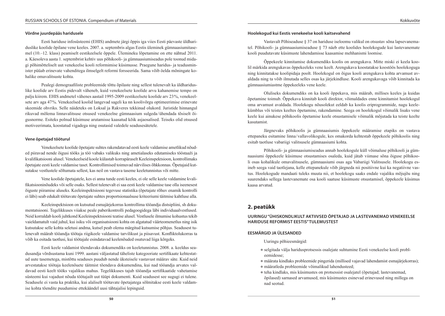#### **Võrdne juurdepääs haridusele**

Eesti hariduse infosüsteemi (EHIS) andmete järgi õppis iga viies Eesti päevaste üldhari‑ duslike koolide õpilane vene keeles. 2007. a. septembris algas Eestis üleminek gümnaasiumitase‑ mel (10.–12. klass) peamiselt eestikeelsele õppele. Ülemineku lõpetamine on ette nähtud 2011. a. Käesoleva aasta 1. septembrist kehtiv uus põhikooli- ja gümnaasiumiseadus pole toonud midagi põhimõtteliselt uut venekeelse kooli reformimise küsimusse. Praegune haridus- ja teadusmin‑ ister püüab erinevate vahenditega ilmselgelt reformi forsseerida. Sama võib öelda mõningate kohalike omavalitsuste kohta.

Pealegi demograafiliste probleemide tõttu õpilaste ning sellest tulenevalt ka üldharidus‑ like koolide arv Eestis pidevalt väheneb, kuid venekeelsete koolide arvu kahanemise tempo on palju kiirem. EHIS andmetel vähenes aastail 1995-2009 eestikeelsete koolide arv 23%, venekeelsete arv aga 47 %. Venekeelsed koolid langevad sageli ka nn koolivõrgu optimeerimise erinevate skeemide ohvriks. Selle näideteks on Loksal ja Rakveres tekkinud olukord. Juristide hinnangul rikuvad mõlema linnavalitsuse otsused venekeelne gümnaasium sulgeda / ühendada tõsiselt õi‑ gusnorme. Esiteks polnud küsimuse arutamisse kaasatud kõik asjaosalised. Teiseks olid otsused motiveerimata, koostatud vigadega ning osutasid valedele seadusesätetele.

#### **Vene õpetajad tööturul**

Venekeelsete koolide õpetajate suhtes rakendatavad eesti keele valdamise ametlikud nõud‑ ed piiravad nende õigusi tööks ja töö vabaks valikuks ning ametialaseks edutamiseks tööstaaži ja kvalifikatsiooni alusel. Venekeelseid koole külastab korrapäraselt Keeleinspektsioon, kontrollimaks õpetajate eesti keele valdamise taset. Kontrollimised toimuvad närvilises õhkkonnas. Õpetajaid kut‑ sutakse vestlustele sõltumata sellest, kas neil on vastava taseme keeletunnistus või mitte.

Vene koolide õpetajatele, kes ei anna tunde eesti keeles, ei ole selle keele valdamine kvali‑ fikatsiooninõudeks või selle osaks. Sellest tulenevalt ei saa eesti keele valdamise tase olla iseenesest õiguste piiramise aluseks. Keeleinspektsiooni tegevuse statistika (õpetajate rõhuv enamik kontrolli ei läbi) seab edukalt töötavate õpetajate suhtes proportsionaalsuse kriteeriumi täitmise kahtluse alla.

Keeleinspektsioon on kutsutud esmajärjekorras kontrollima tööandja distsipliini, sh dokumentatsiooni. Tegelikkuses viiakse peale paberikontrolli pedagoogidega läbi individuaalvestlused. Neid korraldab kooli juhtkond Keeleinspektsiooni teatise alusel. Vestlusele ilmumise kohustus tekib vaieldamatult vaid juhul, kui isiku või organisatsiooni kohta on algatatud väärteomenetlus ning isik kutsutakse selle kohta seletusi andma, kutsel peab olema märgitud kutsumise põhjus. Seadusest tulenevalt määrab tööandja töötaja riigikeele valdamise tarvilikust ja piisavust. Konfliktolukorras ta võib ka esitada taotlusi, kui töötajale esindatavad keelenõuded osutuvad liiga kõrgeks.

Eesti keele valdamist tõendavaks dokumendiks on keeletunnistus. 2008. a. keeldus seadusandja võrdsustama kuni 1999. aastani väljastatud täheliste kategooriate sertifikaate kehtestatud uute tasemetega, mistõttu seaduses puudub nende üksteisele vastavust määrav säte. Kuid neid arvestatakse töötaja keelenõuete täitmist tõendava dokumendina, kui nad tööandja arvates val‑ davad eesti keelt tööks vajalikus mahus. Tegelikkuses tajub tööandja sertifikaatide vahetamise süsteemi kui vajadust nõuda töötajailt uut tüüpi dokumenti. Kuid seadusest see sugugi ei tulene. Seadusele ei vasta ka praktika, kui alaliselt töötavate õpetajatega sõlmitakse eesti keele valdam‑ ise kohta tõendite puudumise ettekäändel uusi tähtajalisi lepinguid.

Vastavalt Põhiseaduse § 37 on hariduse iseloomu valikul on otsustav sõna lapsevanema‑ tel. Põhikooli- ja gümnaasiumiseaduse § 73 näeb ette koolides hoolekogude kui lastevanemate kooli puudutavate küsimuste lahendamisse kaasamise mehhanismi loomise.

Õppekeele kinnitamise dokumendiks koolis on arengukava. Mitte miski ei keela koo‑ lil märkida arengukavas õppekeeleks vene keelt. Arengukava koostatakse koostöös hoolekoguga ning kinnitatakse koolipidaja poolt. Hoolekogul on õigus kooli arengukava kohta arvamust av‑ aldada ning ta võib ilmutada selles osas ka järjekindluse. Kooli arengukavaga võib kinnitada ka gümnaasiumiastme õppekeeleks vene keele.

Oluliseks dokumendiks on ka kooli õppekava, mis määrab, millises keeles ja kuidas õpetamine toimub. Õppekava kinnitab kooli direktor, võimaldades enne kinnitamist hoolekogul oma arvamust avaldada. Hoolekogu nõusolekut eeldab ka koolis eriprogrammide, nagu keelekümblus või teistes keeltes õpetamine, rakendamine. Seega on hoolekogul võimalik lisaks vene keele kui ainukese põhikoolis õpetamise keele otsustamisele võimalik mõjutada ka teiste keelte kasutamist.

Järgnevaks põhikoolis ja gümnaasiumis õppekeele määramise etapiks on vastava ettepaneku esitamine linna / vallavolikogule, kes omakorda kehtestab õppekeele põhikoolis ning esitab taotluse vabariigi valitsusele gümnaasiumi kohta.

Põhikooli- ja gümnaasiumiseadus annab hoolekogule küll võimaluse põhikooli ja gümnaasiumi õppekeele küsimuse otsustamises osaleda, kuid jätab viimase sõna õiguse põhikoo‑ li osas kohalikule omavalitsusele, gümnaasiumi osas aga Vabariigi Valitsusele. Hoolekogu esineb seega vaid taotlejana, kelle ettepanekule võib järgneda nii positiivne kui ka negatiivne vas‑ tus. Hoolekogude mandaati tuleks muuta nii, et hoolekogu saaks endale vajaliku mõjujõu ning suurendaks sellega lastevanemate osa kooli saatuse küsimuste otsustamisel, õppekeele küsimus kaasa arvatud.

# **2. peatükk**

**UURINGU "ÜHISKONDLIKULT AKTIIVSED ÕPETAJAD JA LASTEVANEMAD VENEKEELSE HARIDUSE REFORMIST EESTIS" TULEMUSTEST**

#### **EESMÄRGID JA ÜLESANDED**

Uuringu põhieesmärgid:

- selgitada välja haridusprotsessis osalejate suhtumine Eesti venekeelse kooli probl– eemidesse;
- z määrata kindlaks probleemide pingerida (millised vajavad lahendamist esmajärjekorras);
- $\bullet$  määratleda probleemide võimalikud lahendusteed;
- z teha kindlaks, mis küsimustes on protsessist osalejatel (õpetajad; lastevanemad, õpilased) sarnased arvamused, mis küsimustes esinevad erinevused ning millega on nad seotud.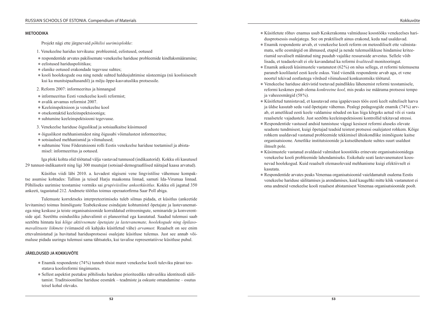#### **METOODIKA**

Projekt nägi ette järgnevaid *põhilisi uurimisplokke*:

- 1. Venekeelne haridus tervikuna: probleemid, eelistused, ootused
- z respondentide arvates pakilisemate venekeelse hariduse probleemide kindlaksmääramine;
- $\bullet$  eelistused hariduspoliitikas;
- elanike ootused erakondade tegevuse suhtes;
- kooli hoolekogude osa ning nende suhted haldusjuhtimise süsteemiga (nii koolisiseselt) kui ka munitsipaaltasandil) ja mõju õppe-kasvatusliku protsessile.
- 2. Reform 2007: informeeritus ja hinnangud
- $\bullet$  informeeritus Eesti venekeelse kooli reformist;
- $\bullet$  avalik arvamus reformist 2007.
- z Keeleinspektsioon ja venekeelne kool
- $\bullet$  otsekontaktid keeleinspektsiooniga;
- $\bullet$  suhtumine keeleinspektsiooni tegevusse.
- 3. Venekeelse hariduse õiguslikud ja sotsiaalkaitse küsimused
- z õiguslikest mehhanismidest ning õigusabi võimalustest informeeritus;
- sotsiaalsed mehhanismid ja võimalused;
- suhtumine Vene Föderatsiooni rolli Eestis venekeelse hariduse toetamisel ja abista misel: informeeritus ja ootused.

Iga ploki kohta olid töötatud välja vastavad tunnused (indikaatorid). Kokku oli kasutusel 29 tunnust-indikaatorit ning ligi 300 muutujat (sotsiaal-demograafilised näitajad kaasa arvatud).

Küsitlus viidi läbi 2010. a. kevadest sügiseni vene lingvistilise vähemuse kompak‑ tse asumise kohtades: Tallinn ja teised Harju maakonna linnad, samuti Ida-Virumaa linnad. Põhiliseks uurimise teostamise vormiks sai *grupiviisiline ankeetküsitlus*. Kokku oli jagatud 350 ankeeti, tagastatud 212. Andmete töötlus toimus operaatorfirma Saar Poll abiga.

Tulemuste korrektseks interpreteerimiseks tuleb silmas pidada, et küsitlus (ankeetide levitamine) toimus Inimõiguste Teabekeskuse esindajate kohtumistel õpetajate ja lastevanemat ega ning keskuse ja teiste organisatsioonide korraldatud eritreeningute, seminaride ja konverentside ajal. Seetõttu esindusliku juhuvalimit ei planeeritud ega kasutatud. Saadud tulemusi saab seetõttu hinnata kui *kõige aktiivsemate õpetajate ja lastevanemate, hoolekogude ning õpilasomavalitsuste liikmete* (viimaseid oli kahjuks küsitletud vähe) *arvamust.* Reaalselt on see enim ettevalmistatud ja huvitatud haridusprotsessi osalejate küsitluse tulemus. Just see annab võimaluse pidada uuringu tulemusi sama tähtsateks, kui tavalise representatiivse küsitluse puhul.

#### **JÄRELDUSED JA KOKKUVÕTE**

- Enamik respondente (74%) tunneb tõsist muret venekeelse kooli tuleviku pärast teo– statava koolireformi tingimustes.
- Sellest aspektist peetakse põhiliseks hariduse prioriteediks rahvusliku identiteedi säili– tamist. Traditsiooniline hariduse eesmärk – teadmiste ja oskuste omandamine – osutus teisel kohal olevaks.
- Küsitletute rõhuv enamus usub Keskerakonna valmidusse koostööks venekeelses hari– dusprotsessis osalejatega. See on praktiliselt ainus erakond, keda nad usaldavad.
- Enamik respondente arvab, et venekeelse kooli reform on metoodiliselt ette valmistamata, selle eesmärgid on ähmased, etapid ja nende tulemuslikkuse hindamise kriteeriumid suvaliselt määratud ning puudub vajalike ressursside arvestus. Sellele võib lisada, et teadaolevalt ei ole kavandatud ka reformi *kvaliteedi* monitooringut.
- $\bullet$  Enamik ankeedi küsimustele vastanutest (62%) on nõus sellega, et reformi tulemusena paraneb koolilastel eesti keele oskus. Vaid viiendik respondente arvab aga, et vene noortel tekivad eestlastega võrdsed võimalused konkurentsiks tööturul.
- Venekeelse hariduse aktivistid toetavad paindlikku lähenemist reformi teostamisele, reformi keskmes peab olema *konkreetne kool,* mis peaks ise määrama protsessi tempo ja vaheeesmärgid (58 %).
- z Küsitletud tunnistavad, et kasutavad oma igapäevases töös eesti keelt suhteliselt harva ja üldse kasutab seda vaid õpetajate vähemus. Pealegi pedagoogide enamik (74%) arvab, et ametlikud eesti keele valdamise nõuded on kas liiga kõrgeks aetud või ei vasta reaalsetele vajadustele. Just seetõttu keeleinspektsiooni kontrollid tekitavad stressi.
- Respondentide vastused andsid tunnistuse vägagi kesisest reformi aluseks olevate seaduste tundmisest, kuigi õpetajad teadsid teistest protsessi osalejatest rohkem. Kõige rohkem usaldavad vastanud probleemide tekkimisel ühiskondlike inimõiguste kaitse organisatsioone. Ametlike institutsioonide ja kutseühenduste suhtes suurt usaldust ilmselt pole.
- z Küsimustele vastanud avaldasid valmidust koostööks erinevate organisatsioonidega venekeelse kooli probleemide lahendamiseks. Esikohale seati lastevanematest koosnevad hoolekogud. Kuid reaalselt olemasolevaid mehhanisme kuigi efektiivselt ei kasutata.
- z Respondentide arvates peaks Venemaa organisatsioonid vaieldamatult osalema Eestis venekeelse hariduse säilitamises ja arendamises, kuid kaugeltki mitte kõik vastanutest ei oma andmeid venekeelse kooli reaalsest abistamisest Venemaa organisatsioonide poolt.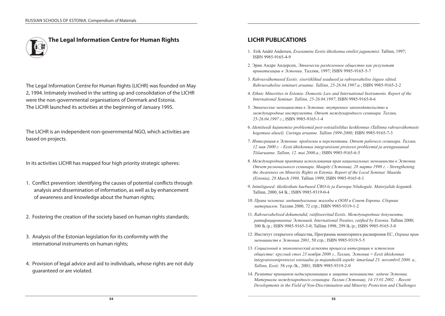# **The Legal Information Centre for Human Rights**

The Legal Information Centre for Human Rights (LICHR) was founded on May 2, 1994. Intimately involved in the setting up and consolidation of the LICHR were the non-governmental organisations of Denmark and Estonia. The LICHR launched its activities at the beginning of January 1995.

The LICHR is an independent non-governmental NGO, which activities are based on projects.

In its activities LICHR has mapped four high priority strategic spheres:

- 1. Conflict prevention: identifying the causes of potential conflicts through analysis and dissemination of information, as well as by enhancement of awareness and knowledge about the human rights;
- 2. Fostering the creation of the society based on human rights standards;
- 3. Analysis of the Estonian legislation for its conformity with the international instruments on human rights;
- 4. Provision of legal advice and aid to individuals, whose rights are not duly guaranteed or are violated.

# **LICHR PUBLICATIONS**

- 1. Erik Andrè Andersen, *Erastamine Eestis ühiskonna etnilist jagunemist*. Tallinn, 1997; ISBN 9985-9165-4-9
- 2. Эрик Андре Андерсен, *Этнически разделенное общество как результат приватизации в Эстонии*. Таллин, 1997; ISBN 9985-9165-5-7
- 3. *Rahvusvähemused Eestis: siseriiklikud seadused ja rahvusvahelise õiguse sätted. Rahvusvahelise seminari aruanne*. *Tallinn, 25-26.04.1997.a.*; ISBN 9985-9165-2-2
- 4. *Ethnic Minorities in Estonia: Domestic Law and International Instruments. Report of the International Seminar*. *Tallinn, 25-26.04.1997*; ISBN 9985-9165-0-6
- 5. *Этнические меньшинства в Эстонии: внутреннее законодательство и международные инструменты. Отчет международного семинара. Таллин, 25-26.04.1997 г*.; ISBN 9985-9165-1-4
- 6. *Identiteedi kujunemise probleemid post-sotsialistlikus keskkonnas (Tallinna rahvusvähemuste kogemuse alusel). Uuringu aruanne. Tallinn 1999-2000;* ISBN 9985-9165-7-3
- 7. *Интеграция в Эстонии: проблемы и перспективы. Отчет рабочего семинара. Таллин, 12 мая 2000 г. - Eesti ühiskonnas integratsiooni protsessi probleemid ja arengusuunad. Tööaruanne. Tallinn, 12. mai 2000.a.;* ISBN 9985-9165-6-5
- 8. *Международная практика использования прав национальных меньшинств в Эстонии. Отчет регионального семинара. Маарду (Эстония), 28 марта 1998 г. - Strengthening the Awareness on Minority Rights in Estonia. Report of the Local Seminar. Maardu (Estonia), 28 March 1998*. Tallinn 1999; ISBN 9985-9165-8-1
- 9*. Inimõigused: üksikisikute kaebused ÜRO-le ja Euroopa Nõukogule. Materjalide kogumik.*  Tallinn, 2000, 64 lk.; ISBN 9985-9319-0-4
- 10. *Права человека: индивидуальные жалобы в ООН и Совет Европы. Сборник материалов*. Таллин 2000, 72 стр.; ISBN 9985-9319-1-2
- 11. *Rahvusvahelised dokumendid, ratifitseeritud Eestis. Международные документы, ратифицированные Эстонией. International Treaties, ratified by Estonia*. Tallinn 2000; 300 lk./p.; ISBN 9985-9165-3-0; Tallinn 1998; 299 lk./p.; ISBN 9985-9165-3-0
- 12. Институт открытого общества, Программа мониторинга расширения ЕС, *Охрана прав меньшинств в Эстонии 2001*, 50 стр.; ISBN 9985-9319-5-5
- 13. *Социальный и экономический аспекты процесса интеграции в эстонском обществе: круглый стол 23 ноября 2000 г., Таллин, Эстония = Eesti ühiskonnas integratsiooniprotsessi sotsiaalne ja majanduslik aspekt: ümarlaud 23. novembril 2000. a., Tallinn, Eesti;* 58 стр./lk., 2001; ISBN 9985-9319-2-0
- 14*. Развитие принципов недискриминации и защиты меньшинств: задачи Эстонии. Материалы международного семинара. Таллин (Эстония), 14-15.01.2002. - Recent Developments in the Field of Non-Discrimination and Minority Protection and Challenges*